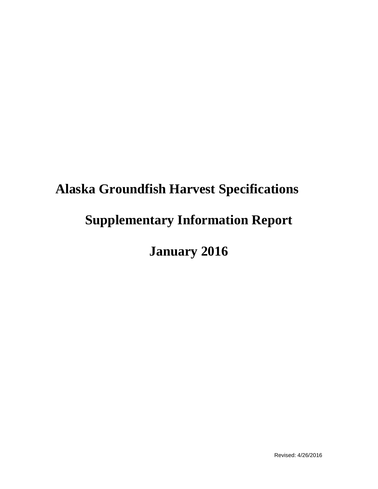# **Alaska Groundfish Harvest Specifications Supplementary Information Report**

# **January 2016**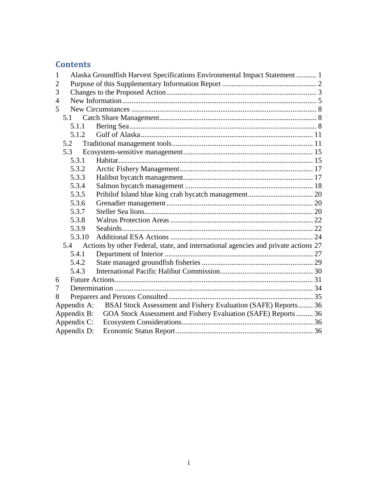### **Contents**

| 1                                                                                         |             | Alaska Groundfish Harvest Specifications Environmental Impact Statement  1 |  |  |  |  |  |
|-------------------------------------------------------------------------------------------|-------------|----------------------------------------------------------------------------|--|--|--|--|--|
| $\overline{2}$                                                                            |             |                                                                            |  |  |  |  |  |
| 3                                                                                         |             |                                                                            |  |  |  |  |  |
| 4                                                                                         |             |                                                                            |  |  |  |  |  |
| 5                                                                                         |             |                                                                            |  |  |  |  |  |
|                                                                                           | 5.1         |                                                                            |  |  |  |  |  |
|                                                                                           | 5.1.1       |                                                                            |  |  |  |  |  |
|                                                                                           | 5.1.2       |                                                                            |  |  |  |  |  |
|                                                                                           | 5.2         |                                                                            |  |  |  |  |  |
|                                                                                           | 5.3         |                                                                            |  |  |  |  |  |
|                                                                                           | 5.3.1       |                                                                            |  |  |  |  |  |
|                                                                                           | 5.3.2       |                                                                            |  |  |  |  |  |
|                                                                                           | 5.3.3       |                                                                            |  |  |  |  |  |
|                                                                                           | 5.3.4       |                                                                            |  |  |  |  |  |
|                                                                                           | 5.3.5       |                                                                            |  |  |  |  |  |
|                                                                                           | 5.3.6       |                                                                            |  |  |  |  |  |
|                                                                                           | 5.3.7       |                                                                            |  |  |  |  |  |
|                                                                                           | 5.3.8       |                                                                            |  |  |  |  |  |
|                                                                                           | 5.3.9       |                                                                            |  |  |  |  |  |
|                                                                                           | 5.3.10      |                                                                            |  |  |  |  |  |
| Actions by other Federal, state, and international agencies and private actions 27<br>5.4 |             |                                                                            |  |  |  |  |  |
|                                                                                           | 5.4.1       |                                                                            |  |  |  |  |  |
|                                                                                           | 5.4.2       |                                                                            |  |  |  |  |  |
|                                                                                           | 5.4.3       |                                                                            |  |  |  |  |  |
| 6                                                                                         |             |                                                                            |  |  |  |  |  |
| 7                                                                                         |             |                                                                            |  |  |  |  |  |
| 8                                                                                         |             |                                                                            |  |  |  |  |  |
|                                                                                           | Appendix A: | BSAI Stock Assessment and Fishery Evaluation (SAFE) Reports 36             |  |  |  |  |  |
|                                                                                           | Appendix B: | GOA Stock Assessment and Fishery Evaluation (SAFE) Reports  36             |  |  |  |  |  |
|                                                                                           | Appendix C: |                                                                            |  |  |  |  |  |
|                                                                                           | Appendix D: |                                                                            |  |  |  |  |  |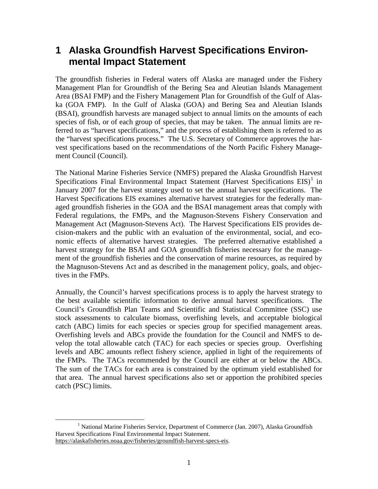## <span id="page-2-0"></span>**1 Alaska Groundfish Harvest Specifications Environmental Impact Statement**

 The groundfish fisheries in Federal waters off Alaska are managed under the Fishery ka (GOA FMP). In the Gulf of Alaska (GOA) and Bering Sea and Aleutian Islands Management Plan for Groundfish of the Bering Sea and Aleutian Islands Management Area (BSAI FMP) and the Fishery Management Plan for Groundfish of the Gulf of Alas-(BSAI), groundfish harvests are managed subject to annual limits on the amounts of each species of fish, or of each group of species, that may be taken. The annual limits are referred to as "harvest specifications," and the process of establishing them is referred to as the "harvest specifications process." The U.S. Secretary of Commerce approves the harvest specifications based on the recommendations of the North Pacific Fishery Management Council (Council).

 nomic effects of alternative harvest strategies. The preferred alternative established a harvest strategy for the BSAI and GOA groundfish fisheries necessary for the managetives in the FMPs. The National Marine Fisheries Service (NMFS) prepared the Alaska Groundfish Harvest Specifications Final Environmental Impact Statement (Harvest Specifications  $EIS$ )<sup>1</sup> in January 2007 for the harvest strategy used to set the annual harvest specifications. The Harvest Specifications EIS examines alternative harvest strategies for the federally managed groundfish fisheries in the GOA and the BSAI management areas that comply with Federal regulations, the FMPs, and the Magnuson-Stevens Fishery Conservation and Management Act (Magnuson-Stevens Act). The Harvest Specifications EIS provides decision-makers and the public with an evaluation of the environmental, social, and ecoment of the groundfish fisheries and the conservation of marine resources, as required by the Magnuson-Stevens Act and as described in the management policy, goals, and objec-

 Council's Groundfish Plan Teams and Scientific and Statistical Committee (SSC) use catch (ABC) limits for each species or species group for specified management areas. the FMPs. The TACs recommended by the Council are either at or below the ABCs. that area. The annual harvest specifications also set or apportion the prohibited species catch (PSC) limits. Annually, the Council's harvest specifications process is to apply the harvest strategy to the best available scientific information to derive annual harvest specifications. The stock assessments to calculate biomass, overfishing levels, and acceptable biological Overfishing levels and ABCs provide the foundation for the Council and NMFS to develop the total allowable catch (TAC) for each species or species group. Overfishing levels and ABC amounts reflect fishery science, applied in light of the requirements of The sum of the TACs for each area is constrained by the optimum yield established for

<span id="page-2-1"></span> $\overline{a}$ <sup>1</sup> National Marine Fisheries Service, Department of Commerce (Jan. 2007), Alaska Groundfish Harvest Specifications Final Environmental Impact Statement. https://alaskafisheries.noaa.gov/fisheries/groundfish-harvest-specs-eis.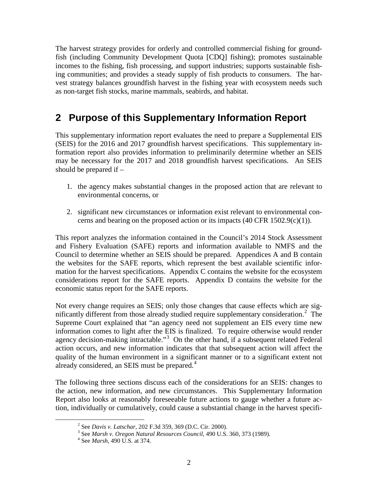<span id="page-3-0"></span> The harvest strategy provides for orderly and controlled commercial fishing for ground- vest strategy balances groundfish harvest in the fishing year with ecosystem needs such fish (including Community Development Quota [CDQ] fishing); promotes sustainable incomes to the fishing, fish processing, and support industries; supports sustainable fishing communities; and provides a steady supply of fish products to consumers. The haras non-target fish stocks, marine mammals, seabirds, and habitat.

# **2 Purpose of this Supplementary Information Report**

 (SEIS) for the 2016 and 2017 groundfish harvest specifications. This supplementary in- may be necessary for the 2017 and 2018 groundfish harvest specifications. An SEIS should be prepared if – This supplementary information report evaluates the need to prepare a Supplemental EIS formation report also provides information to preliminarily determine whether an SEIS

- 1. the agency makes substantial changes in the proposed action that are relevant to environmental concerns, or
- 2. significant new circumstances or information exist relevant to environmental concerns and bearing on the proposed action or its impacts  $(40 \text{ CFR } 1502.9(c)(1))$ .

 Council to determine whether an SEIS should be prepared. Appendices A and B contain mation for the harvest specifications. Appendix C contains the website for the ecosystem This report analyzes the information contained in the Council's 2014 Stock Assessment and Fishery Evaluation (SAFE) reports and information available to NMFS and the the websites for the SAFE reports, which represent the best available scientific inforconsiderations report for the SAFE reports. Appendix D contains the website for the economic status report for the SAFE reports.

nificantly different from those already studied require supplementary consideration. $2$  The agency decision-making intractable."<sup>[3](#page-3-2)</sup> On the other hand, if a subsequent related Federal already considered, an SEIS must be prepared.<sup>[4](#page-3-3)</sup> Not every change requires an SEIS; only those changes that cause effects which are sig-Supreme Court explained that "an agency need not supplement an EIS every time new information comes to light after the EIS is finalized. To require otherwise would render action occurs, and new information indicates that that subsequent action will affect the quality of the human environment in a significant manner or to a significant extent not

<span id="page-3-2"></span><span id="page-3-1"></span> the action, new information, and new circumstances. This Supplementary Information The following three sections discuss each of the considerations for an SEIS: changes to Report also looks at reasonably foreseeable future actions to gauge whether a future action, individually or cumulatively, could cause a substantial change in the harvest specifi-

<sup>&</sup>lt;sup>2</sup> See Davis v. Latschar, 202 F.3d 359, 369 (D.C. Cir. 2000).

<sup>&</sup>lt;sup>2</sup> See *Davis v. Latschar*, 202 F.3d 359, 369 (D.C. Cir. 2000).<br><sup>3</sup> See *Marsh v. Oregon Natural Resources Council*, 490 U.S. 360, 373 (1989).<br><sup>4</sup> See *Marsh*, 490 U.S. at 374.

<span id="page-3-3"></span>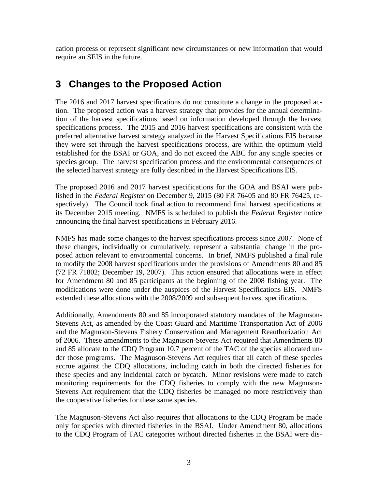<span id="page-4-0"></span>cation process or represent significant new circumstances or new information that would require an SEIS in the future.

# **3 Changes to the Proposed Action**

 specifications process. The 2015 and 2016 harvest specifications are consistent with the they were set through the harvest specifications process, are within the optimum yield established for the BSAI or GOA, and do not exceed the ABC for any single species or species group. The harvest specification process and the environmental consequences of The 2016 and 2017 harvest specifications do not constitute a change in the proposed action. The proposed action was a harvest strategy that provides for the annual determination of the harvest specifications based on information developed through the harvest preferred alternative harvest strategy analyzed in the Harvest Specifications EIS because the selected harvest strategy are fully described in the Harvest Specifications EIS.

 lished in the *Federal Register* on December 9, 2015 (80 FR 76405 and 80 FR 76425, re- spectively). The Council took final action to recommend final harvest specifications at its December 2015 meeting. NMFS is scheduled to publish the *Federal Register* notice announcing the final harvest specifications in February 2016. The proposed 2016 and 2017 harvest specifications for the GOA and BSAI were pub-

 NMFS has made some changes to the harvest specifications process since 2007. None of posed action relevant to environmental concerns. In brief, NMFS published a final rule for Amendment 80 and 85 participants at the beginning of the 2008 fishing year. The extended these allocations with the 2008/2009 and subsequent harvest specifications. these changes, individually or cumulatively, represent a substantial change in the proto modify the 2008 harvest specifications under the provisions of Amendments 80 and 85 (72 FR 71802; December 19, 2007). This action ensured that allocations were in effect modifications were done under the auspices of the Harvest Specifications EIS. NMFS

 these species and any incidental catch or bycatch. Minor revisions were made to catch the cooperative fisheries for these same species. Additionally, Amendments 80 and 85 incorporated statutory mandates of the Magnuson-Stevens Act, as amended by the Coast Guard and Maritime Transportation Act of 2006 and the Magnuson-Stevens Fishery Conservation and Management Reauthorization Act of 2006. These amendments to the Magnuson-Stevens Act required that Amendments 80 and 85 allocate to the CDQ Program 10.7 percent of the TAC of the species allocated under those programs. The Magnuson-Stevens Act requires that all catch of these species accrue against the CDQ allocations, including catch in both the directed fisheries for monitoring requirements for the CDQ fisheries to comply with the new Magnuson-Stevens Act requirement that the CDQ fisheries be managed no more restrictively than

The Magnuson-Stevens Act also requires that allocations to the CDQ Program be made only for species with directed fisheries in the BSAI. Under Amendment 80, allocations to the CDQ Program of TAC categories without directed fisheries in the BSAI were dis-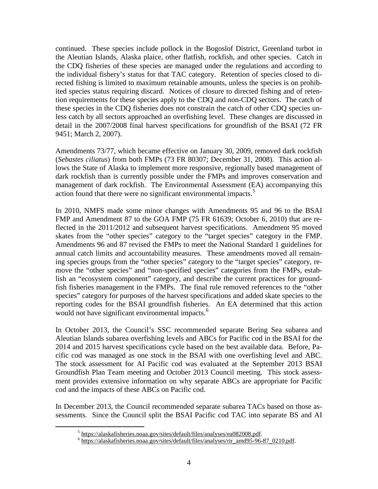ited species status requiring discard. Notices of closure to directed fishing and of retencontinued. These species include pollock in the Bogoslof District, Greenland turbot in the Aleutian Islands, Alaska plaice, other flatfish, rockfish, and other species. Catch in the CDQ fisheries of these species are managed under the regulations and according to the individual fishery's status for that TAC category. Retention of species closed to directed fishing is limited to maximum retainable amounts, unless the species is on prohibtion requirements for these species apply to the CDQ and non-CDQ sectors. The catch of these species in the CDQ fisheries does not constrain the catch of other CDQ species unless catch by all sectors approached an overfishing level. These changes are discussed in detail in the 2007/2008 final harvest specifications for groundfish of the BSAI (72 FR 9451; March 2, 2007).

action found that there were no significant environmental impacts.<sup>[5](#page-5-0)</sup> Amendments 73/77, which became effective on January 30, 2009, removed dark rockfish (*Sebastes ciliatus*) from both FMPs (73 FR 80307; December 31, 2008). This action allows the State of Alaska to implement more responsive, regionally based management of dark rockfish than is currently possible under the FMPs and improves conservation and management of dark rockfish. The Environmental Assessment (EA) accompanying this

 ing species groups from the "other species" category to the "target species" category, re- reporting codes for the BSAI groundfish fisheries. An EA determined that this action In 2010, NMFS made some minor changes with Amendments 95 and 96 to the BSAI FMP and Amendment 87 to the GOA FMP (75 FR 61639; October 6, 2010) that are reflected in the 2011/2012 and subsequent harvest specifications. Amendment 95 moved skates from the "other species" category to the "target species" category in the FMP. Amendments 96 and 87 revised the FMPs to meet the National Standard 1 guidelines for annual catch limits and accountability measures. These amendments moved all remainmove the "other species" and "non-specified species" categories from the FMPs, establish an "ecosystem component" category, and describe the current practices for groundfish fisheries management in the FMPs. The final rule removed references to the "other species" category for purposes of the harvest specifications and added skate species to the would not have significant environmental impacts.<sup>6</sup>

cific cod was managed as one stock in the BSAI with one overfishing level and ABC. Groundfish Plan Team meeting and October 2013 Council meeting. This stock assess-In October 2013, the Council's SSC recommended separate Bering Sea subarea and Aleutian Islands subarea overfishing levels and ABCs for Pacific cod in the BSAI for the 2014 and 2015 harvest specifications cycle based on the best available data. Before, Pa-The stock assessment for AI Pacific cod was evaluated at the September 2013 BSAI ment provides extensive information on why separate ABCs are appropriate for Pacific cod and the impacts of these ABCs on Pacific cod.

In December 2013, the Council recommended separate subarea TACs based on those assessments. Since the Council split the BSAI Pacific cod TAC into separate BS and AI

<span id="page-5-1"></span><span id="page-5-0"></span>-

 $\frac{5}{6}$  https://alaskafisheries.noaa.gov/sites/default/files/analyses/ea082008.pdf.<br> $\frac{6}{6}$  https://alaskafisheries.noaa.gov/sites/default/files/analyses/rir\_amd95-96-87\_0210.pdf.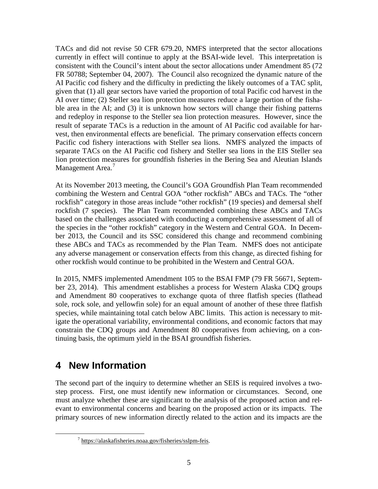<span id="page-6-0"></span> currently in effect will continue to apply at the BSAI-wide level. This interpretation is and redeploy in response to the Steller sea lion protection measures. However, since the vest, then environmental effects are beneficial. The primary conservation effects concern TACs and did not revise 50 CFR 679.20, NMFS interpreted that the sector allocations consistent with the Council's intent about the sector allocations under Amendment 85 (72 FR 50788; September 04, 2007). The Council also recognized the dynamic nature of the AI Pacific cod fishery and the difficulty in predicting the likely outcomes of a TAC split, given that (1) all gear sectors have varied the proportion of total Pacific cod harvest in the AI over time; (2) Steller sea lion protection measures reduce a large portion of the fishable area in the AI; and (3) it is unknown how sectors will change their fishing patterns result of separate TACs is a reduction in the amount of AI Pacific cod available for har-Pacific cod fishery interactions with Steller sea lions. NMFS analyzed the impacts of separate TACs on the AI Pacific cod fishery and Steller sea lions in the EIS Steller sea lion protection measures for groundfish fisheries in the Bering Sea and Aleutian Islands Management Area.<sup>7</sup>

 ber 2013, the Council and its SSC considered this change and recommend combining At its November 2013 meeting, the Council's GOA Groundfish Plan Team recommended combining the Western and Central GOA "other rockfish" ABCs and TACs. The "other rockfish" category in those areas include "other rockfish" (19 species) and demersal shelf rockfish (7 species). The Plan Team recommended combining these ABCs and TACs based on the challenges associated with conducting a comprehensive assessment of all of the species in the "other rockfish" category in the Western and Central GOA. In Decemthese ABCs and TACs as recommended by the Plan Team. NMFS does not anticipate any adverse management or conservation effects from this change, as directed fishing for other rockfish would continue to be prohibited in the Western and Central GOA.

 ber 23, 2014). This amendment establishes a process for Western Alaska CDQ groups tinuing basis, the optimum yield in the BSAI groundfish fisheries. In 2015, NMFS implemented Amendment 105 to the BSAI FMP (79 FR 56671, Septemand Amendment 80 cooperatives to exchange quota of three flatfish species (flathead sole, rock sole, and yellowfin sole) for an equal amount of another of these three flatfish species, while maintaining total catch below ABC limits. This action is necessary to mitigate the operational variability, environmental conditions, and economic factors that may constrain the CDQ groups and Amendment 80 cooperatives from achieving, on a con-

# **4 New Information**

<span id="page-6-1"></span><u>.</u>

 step process. First, one must identify new information or circumstances. Second, one must analyze whether these are significant to the analysis of the proposed action and rel-The second part of the inquiry to determine whether an SEIS is required involves a twoevant to environmental concerns and bearing on the proposed action or its impacts. The primary sources of new information directly related to the action and its impacts are the

<sup>7</sup> https://alaskafisheries.noaa.gov/fisheries/sslpm-feis.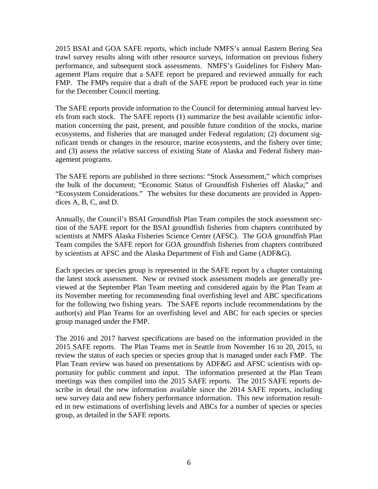2015 BSAI and GOA SAFE reports, which include NMFS's annual Eastern Bering Sea performance, and subsequent stock assessments. NMFS's Guidelines for Fishery Man- agement Plans require that a SAFE report be prepared and reviewed annually for each trawl survey results along with other resource surveys, information on previous fishery FMP. The FMPs require that a draft of the SAFE report be produced each year in time for the December Council meeting.

 The SAFE reports provide information to the Council for determining annual harvest lev- ecosystems, and fisheries that are managed under Federal regulation; (2) document sig- and (3) assess the relative success of existing State of Alaska and Federal fishery manels from each stock. The SAFE reports (1) summarize the best available scientific information concerning the past, present, and possible future condition of the stocks, marine nificant trends or changes in the resource, marine ecosystems, and the fishery over time; agement programs.

 "Ecosystem Considerations." The websites for these documents are provided in Appen-The SAFE reports are published in three sections: "Stock Assessment," which comprises the bulk of the document; "Economic Status of Groundfish Fisheries off Alaska;" and dices A, B, C, and D.

 tion of the SAFE report for the BSAI groundfish fisheries from chapters contributed by by scientists at AFSC and the Alaska Department of Fish and Game (ADF&G). Annually, the Council's BSAI Groundfish Plan Team compiles the stock assessment secscientists at NMFS Alaska Fisheries Science Center (AFSC). The GOA groundfish Plan Team compiles the SAFE report for GOA groundfish fisheries from chapters contributed

 author(s) and Plan Teams for an overfishing level and ABC for each species or species Each species or species group is represented in the SAFE report by a chapter containing the latest stock assessment. New or revised stock assessment models are generally previewed at the September Plan Team meeting and considered again by the Plan Team at its November meeting for recommending final overfishing level and ABC specifications for the following two fishing years. The SAFE reports include recommendations by the group managed under the FMP.

The 2016 and 2017 harvest specifications are based on the information provided in the 2015 SAFE reports. The Plan Teams met in Seattle from November 16 to 20, 2015, to review the status of each species or species group that is managed under each FMP. The Plan Team review was based on presentations by ADF&G and AFSC scientists with opportunity for public comment and input. The information presented at the Plan Team meetings was then compiled into the 2015 SAFE reports. The 2015 SAFE reports describe in detail the new information available since the 2014 SAFE reports, including new survey data and new fishery performance information. This new information resulted in new estimations of overfishing levels and ABCs for a number of species or species group, as detailed in the SAFE reports.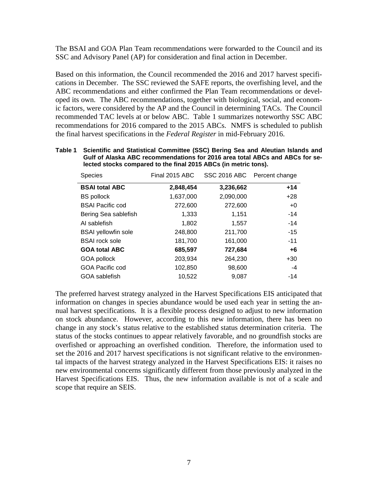The BSAI and GOA Plan Team recommendations were forwarded to the Council and its SSC and Advisory Panel (AP) for consideration and final action in December.

 cations in December. The SSC reviewed the SAFE reports, the overfishing level, and the ic factors, were considered by the AP and the Council in determining TACs. The Council recommended TAC levels at or below ABC. Table 1 summarizes noteworthy SSC ABC recommendations for 2016 compared to the 2015 ABCs. NMFS is scheduled to publish Based on this information, the Council recommended the 2016 and 2017 harvest specifi-ABC recommendations and either confirmed the Plan Team recommendations or developed its own. The ABC recommendations, together with biological, social, and economthe final harvest specifications in the *Federal Register* in mid-February 2016.

| Table 1 | Scientific and Statistical Committee (SSC) Bering Sea and Aleutian Islands and |
|---------|--------------------------------------------------------------------------------|
|         | Gulf of Alaska ABC recommendations for 2016 area total ABCs and ABCs for se-   |
|         | lected stocks compared to the final 2015 ABCs (in metric tons).                |

| <b>Species</b>             | Final 2015 ABC |           | SSC 2016 ABC Percent change |
|----------------------------|----------------|-----------|-----------------------------|
| <b>BSAI total ABC</b>      | 2,848,454      | 3,236,662 | $+14$                       |
| <b>BS</b> pollock          | 1,637,000      | 2,090,000 | $+28$                       |
| <b>BSAI Pacific cod</b>    | 272,600        | 272,600   | $+0$                        |
| Bering Sea sablefish       | 1,333          | 1,151     | -14                         |
| AI sablefish               | 1,802          | 1,557     | $-14$                       |
| <b>BSAI</b> yellowfin sole | 248,800        | 211,700   | $-15$                       |
| <b>BSAI</b> rock sole      | 181,700        | 161,000   | $-11$                       |
| <b>GOA total ABC</b>       | 685,597        | 727,684   | +6                          |
| GOA pollock                | 203,934        | 264,230   | $+30$                       |
| <b>GOA Pacific cod</b>     | 102,850        | 98,600    | $-4$                        |
| GOA sablefish              | 10,522         | 9,087     | $-14$                       |

 information on changes in species abundance would be used each year in setting the an- nual harvest specifications. It is a flexible process designed to adjust to new information on stock abundance. However, according to this new information, there has been no change in any stock's status relative to the established status determination criteria. The scope that require an SEIS. The preferred harvest strategy analyzed in the Harvest Specifications EIS anticipated that status of the stocks continues to appear relatively favorable, and no groundfish stocks are overfished or approaching an overfished condition. Therefore, the information used to set the 2016 and 2017 harvest specifications is not significant relative to the environmental impacts of the harvest strategy analyzed in the Harvest Specifications EIS: it raises no new environmental concerns significantly different from those previously analyzed in the Harvest Specifications EIS. Thus, the new information available is not of a scale and scope that require an SEIS.<br>
7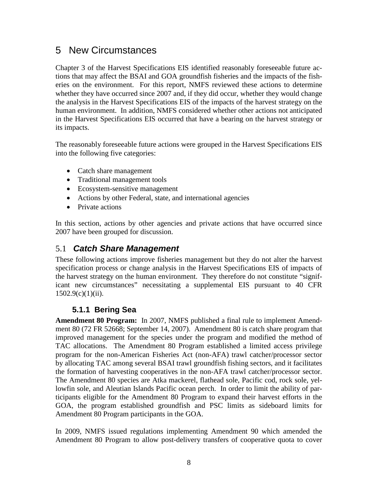# <span id="page-9-0"></span>5 New Circumstances

 whether they have occurred since 2007 and, if they did occur, whether they would change the analysis in the Harvest Specifications EIS of the impacts of the harvest strategy on the human environment. In addition, NMFS considered whether other actions not anticipated in the Harvest Specifications EIS occurred that have a bearing on the harvest strategy or Chapter 3 of the Harvest Specifications EIS identified reasonably foreseeable future actions that may affect the BSAI and GOA groundfish fisheries and the impacts of the fisheries on the environment. For this report, NMFS reviewed these actions to determine its impacts.

 into the following five categories: The reasonably foreseeable future actions were grouped in the Harvest Specifications EIS

- Catch share management
- Traditional management tools
- Ecosystem-sensitive management
- Actions by other Federal, state, and international agencies
- Private actions

In this section, actions by other agencies and private actions that have occurred since 2007 have been grouped for discussion.

#### 5.1 *Catch Share Management*

These following actions improve fisheries management but they do not alter the harvest specification process or change analysis in the Harvest Specifications EIS of impacts of the harvest strategy on the human environment. They therefore do not constitute "significant new circumstances" necessitating a supplemental EIS pursuant to 40 CFR  $1502.9(c)(1)(ii)$ .

#### **5.1.1 Bering Sea**

 **Amendment 80 Program:** In 2007, NMFS published a final rule to implement Amend- ment 80 (72 FR 52668; September 14, 2007). Amendment 80 is catch share program that TAC allocations. The Amendment 80 Program established a limited access privilege program for the non-American Fisheries Act (non-AFA) trawl catcher/processor sector the formation of harvesting cooperatives in the non-AFA trawl catcher/processor sector. ticipants eligible for the Amendment 80 Program to expand their harvest efforts in the improved management for the species under the program and modified the method of by allocating TAC among several BSAI trawl groundfish fishing sectors, and it facilitates The Amendment 80 species are Atka mackerel, flathead sole, Pacific cod, rock sole, yellowfin sole, and Aleutian Islands Pacific ocean perch. In order to limit the ability of par-GOA, the program established groundfish and PSC limits as sideboard limits for Amendment 80 Program participants in the GOA.

 In 2009, NMFS issued regulations implementing Amendment 90 which amended the Amendment 80 Program to allow post-delivery transfers of cooperative quota to cover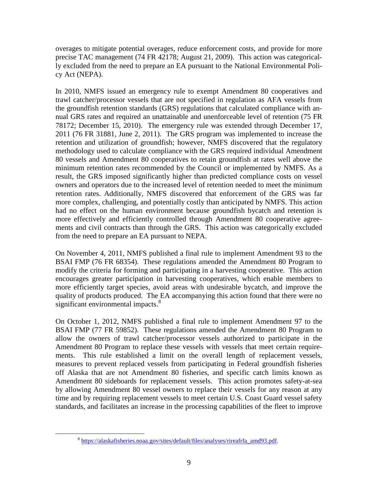precise TAC management (74 FR 42178; August 21, 2009). This action was categoricaloverages to mitigate potential overages, reduce enforcement costs, and provide for more ly excluded from the need to prepare an EA pursuant to the National Environmental Policy Act (NEPA).

 the groundfish retention standards (GRS) regulations that calculated compliance with an- ments and civil contracts than through the GRS. This action was categorically excluded from the need to prepare an EA pursuant to NEPA. In 2010, NMFS issued an emergency rule to exempt Amendment 80 cooperatives and trawl catcher/processor vessels that are not specified in regulation as AFA vessels from nual GRS rates and required an unattainable and unenforceable level of retention (75 FR 78172; December 15, 2010). The emergency rule was extended through December 17, 2011 (76 FR 31881, June 2, 2011). The GRS program was implemented to increase the retention and utilization of groundfish; however, NMFS discovered that the regulatory methodology used to calculate compliance with the GRS required individual Amendment 80 vessels and Amendment 80 cooperatives to retain groundfish at rates well above the minimum retention rates recommended by the Council or implemented by NMFS. As a result, the GRS imposed significantly higher than predicted compliance costs on vessel owners and operators due to the increased level of retention needed to meet the minimum retention rates. Additionally, NMFS discovered that enforcement of the GRS was far more complex, challenging, and potentially costly than anticipated by NMFS. This action had no effect on the human environment because groundfish bycatch and retention is more effectively and efficiently controlled through Amendment 80 cooperative agree-

 BSAI FMP (76 FR 68354). These regulations amended the Amendment 80 Program to modify the criteria for forming and participating in a harvesting cooperative. This action On November 4, 2011, NMFS published a final rule to implement Amendment 93 to the encourages greater participation in harvesting cooperatives, which enable members to more efficiently target species, avoid areas with undesirable bycatch, and improve the quality of products produced. The EA accompanying this action found that there were no significant environmental impacts.<sup>8</sup>

 by allowing Amendment 80 vessel owners to replace their vessels for any reason at any time and by requiring replacement vessels to meet certain U.S. Coast Guard vessel safety On October 1, 2012, NMFS published a final rule to implement Amendment 97 to the BSAI FMP (77 FR 59852). These regulations amended the Amendment 80 Program to allow the owners of trawl catcher/processor vessels authorized to participate in the Amendment 80 Program to replace these vessels with vessels that meet certain requirements. This rule established a limit on the overall length of replacement vessels, measures to prevent replaced vessels from participating in Federal groundfish fisheries off Alaska that are not Amendment 80 fisheries, and specific catch limits known as Amendment 80 sideboards for replacement vessels. This action promotes safety-at-sea standards, and facilitates an increase in the processing capabilities of the fleet to improve

<span id="page-10-0"></span><sup>8</sup> https://alaskafisheries.noaa.gov/sites/default/files/analyses/rireafrfa\_amd93.pdf.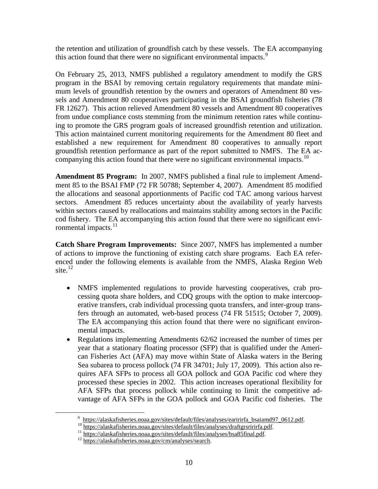the retention and utilization of groundfish catch by these vessels. The EA accompanying this action found that there were no significant environmental impacts.<sup>9</sup>

 program in the BSAI by removing certain regulatory requirements that mandate mini- sels and Amendment 80 cooperatives participating in the BSAI groundfish fisheries (78 established a new requirement for Amendment 80 cooperatives to annually report groundfish retention performance as part of the report submitted to NMFS. The EA ac-companying this action found that there were no significant environmental impacts.<sup>[10](#page-11-1)</sup> On February 25, 2013, NMFS published a regulatory amendment to modify the GRS mum levels of groundfish retention by the owners and operators of Amendment 80 ves-FR 12627). This action relieved Amendment 80 vessels and Amendment 80 cooperatives from undue compliance costs stemming from the minimum retention rates while continuing to promote the GRS program goals of increased groundfish retention and utilization. This action maintained current monitoring requirements for the Amendment 80 fleet and

 **Amendment 85 Program:** In 2007, NMFS published a final rule to implement Amend- ment 85 to the BSAI FMP (72 FR 50788; September 4, 2007). Amendment 85 modified the allocations and seasonal apportionments of Pacific cod TAC among various harvest sectors. Amendment 85 reduces uncertainty about the availability of yearly harvests within sectors caused by reallocations and maintains stability among sectors in the Pacific cod fishery. The EA accompanying this action found that there were no significant environmental impacts.<sup>11</sup>

 **Catch Share Program Improvements:** Since 2007, NMFS has implemented a number of actions to improve the functioning of existing catch share programs. Each EA referenced under the following elements is available from the NMFS, Alaska Region Web site. $^{12}$  $^{12}$  $^{12}$ 

- cessing quota share holders, and CDQ groups with the option to make intercoop- fers through an automated, web-based process (74 FR 51515; October 7, 2009). mental impacts. • NMFS implemented regulations to provide harvesting cooperatives, crab proerative transfers, crab individual processing quota transfers, and inter-group trans-The EA accompanying this action found that there were no significant environ-
- processed these species in 2002. This action increases operational flexibility for vantage of AFA SFPs in the GOA pollock and GOA Pacific cod fisheries. The • Regulations implementing Amendments 62/62 increased the number of times per year that a stationary floating processor (SFP) that is qualified under the American Fisheries Act (AFA) may move within State of Alaska waters in the Bering Sea subarea to process pollock (74 FR 34701; July 17, 2009). This action also requires AFA SFPs to process all GOA pollock and GOA Pacific cod where they AFA SFPs that process pollock while continuing to limit the competitive ad-

<span id="page-11-1"></span><span id="page-11-0"></span><sup>&</sup>lt;sup>9</sup> https://alaskafisheries.noaa.gov/sites/default/files/analyses/earirirfa\_bsaiamd97\_0612.pdf.<br><sup>10</sup> https://alaskafisheries.noaa.gov/sites/default/files/analyses/draftgrsririrfa.pdf.<br><sup>11</sup> https://alaskafisheries.noaa.gov

<span id="page-11-3"></span><span id="page-11-2"></span>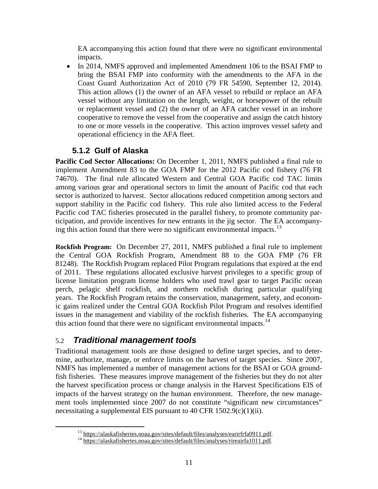<span id="page-12-0"></span>EA accompanying this action found that there were no significant environmental impacts.

 • In 2014, NMFS approved and implemented Amendment 106 to the BSAI FMP to bring the BSAI FMP into conformity with the amendments to the AFA in the This action allows (1) the owner of an AFA vessel to rebuild or replace an AFA Coast Guard Authorization Act of 2010 (79 FR 54590, September 12, 2014). vessel without any limitation on the length, weight, or horsepower of the rebuilt or replacement vessel and (2) the owner of an AFA catcher vessel in an inshore cooperative to remove the vessel from the cooperative and assign the catch history to one or more vessels in the cooperative. This action improves vessel safety and operational efficiency in the AFA fleet.

### **5.1.2 Gulf of Alaska**

 implement Amendment 83 to the GOA FMP for the 2012 Pacific cod fishery (76 FR 74670). The final rule allocated Western and Central GOA Pacific cod TAC limits sector is authorized to harvest. Sector allocations reduced competition among sectors and support stability in the Pacific cod fishery. This rule also limited access to the Federal ticipation, and provide incentives for new entrants in the jig sector. The EA accompany-**Pacific Cod Sector Allocations:** On December 1, 2011, NMFS published a final rule to among various gear and operational sectors to limit the amount of Pacific cod that each Pacific cod TAC fisheries prosecuted in the parallel fishery, to promote community par-ing this action found that there were no significant environmental impacts.<sup>[13](#page-12-1)</sup>

 **Rockfish Program:** On December 27, 2011, NMFS published a final rule to implement 81248). The Rockfish Program replaced Pilot Program regulations that expired at the end of 2011. These regulations allocated exclusive harvest privileges to a specific group of license limitation program license holders who used trawl gear to target Pacific ocean years. The Rockfish Program retains the conservation, management, safety, and econom- issues in the management and viability of the rockfish fisheries. The EA accompanying the Central GOA Rockfish Program, Amendment 88 to the GOA FMP (76 FR perch, pelagic shelf rockfish, and northern rockfish during particular qualifying ic gains realized under the Central GOA Rockfish Pilot Program and resolves identified this action found that there were no significant environmental impacts.<sup>14</sup>

### 5.2 *Traditional management tools*

<span id="page-12-2"></span><span id="page-12-1"></span> $\overline{a}$ 

 mine, authorize, manage, or enforce limits on the harvest of target species. Since 2007, fish fisheries. These measures improve management of the fisheries but they do not alter Traditional management tools are those designed to define target species, and to deter-NMFS has implemented a number of management actions for the BSAI or GOA groundthe harvest specification process or change analysis in the Harvest Specifications EIS of impacts of the harvest strategy on the human environment. Therefore, the new management tools implemented since 2007 do not constitute "significant new circumstances" necessitating a supplemental EIS pursuant to 40 CFR 1502.9(c)(1)(ii).

<sup>&</sup>lt;sup>13</sup> https://alaskafisheries.noaa.gov/sites/default/files/analyses/earirfrfa0911.pdf.<br><sup>14</sup> https://alaskafisheries.noaa.gov/sites/default/files/analyses/rireairfa1011.pdf.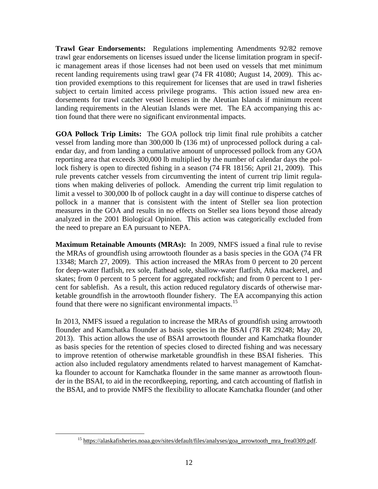**Trawl Gear Endorsements:** Regulations implementing Amendments 92/82 remove trawl gear endorsements on licenses issued under the license limitation program in specific management areas if those licenses had not been used on vessels that met minimum recent landing requirements using trawl gear (74 FR 41080; August 14, 2009). This action provided exemptions to this requirement for licenses that are used in trawl fisheries subject to certain limited access privilege programs. This action issued new area endorsements for trawl catcher vessel licenses in the Aleutian Islands if minimum recent landing requirements in the Aleutian Islands were met. The EA accompanying this action found that there were no significant environmental impacts.

 **GOA Pollock Trip Limits:** The GOA pollock trip limit final rule prohibits a catcher vessel from landing more than 300,000 lb (136 mt) of unprocessed pollock during a cal- endar day, and from landing a cumulative amount of unprocessed pollock from any GOA lock fishery is open to directed fishing in a season (74 FR 18156; April 21, 2009). This rule prevents catcher vessels from circumventing the intent of current trip limit regula- tions when making deliveries of pollock. Amending the current trip limit regulation to limit a vessel to 300,000 lb of pollock caught in a day will continue to disperse catches of analyzed in the 2001 Biological Opinion. This action was categorically excluded from reporting area that exceeds 300,000 lb multiplied by the number of calendar days the polpollock in a manner that is consistent with the intent of Steller sea lion protection measures in the GOA and results in no effects on Steller sea lions beyond those already the need to prepare an EA pursuant to NEPA.

 **Maximum Retainable Amounts (MRAs):** In 2009, NMFS issued a final rule to revise cent for sablefish. As a result, this action reduced regulatory discards of otherwise mar- ketable groundfish in the arrowtooth flounder fishery. The EA accompanying this action the MRAs of groundfish using arrowtooth flounder as a basis species in the GOA (74 FR 13348; March 27, 2009). This action increased the MRAs from 0 percent to 20 percent for deep-water flatfish, rex sole, flathead sole, shallow-water flatfish, Atka mackerel, and skates; from 0 percent to 5 percent for aggregated rockfish; and from 0 percent to 1 per-found that there were no significant environmental impacts.<sup>[15](#page-13-0)</sup>

 flounder and Kamchatka flounder as basis species in the BSAI (78 FR 29248; May 20, as basis species for the retention of species closed to directed fishing and was necessary to improve retention of otherwise marketable groundfish in these BSAI fisheries. This the BSAI, and to provide NMFS the flexibility to allocate Kamchatka flounder (and other In 2013, NMFS issued a regulation to increase the MRAs of groundfish using arrowtooth 2013). This action allows the use of BSAI arrowtooth flounder and Kamchatka flounder action also included regulatory amendments related to harvest management of Kamchatka flounder to account for Kamchatka flounder in the same manner as arrowtooth flounder in the BSAI, to aid in the recordkeeping, reporting, and catch accounting of flatfish in

<span id="page-13-0"></span><u>.</u>

<sup>15</sup> https://alaskafisheries.noaa.gov/sites/default/files/analyses/goa\_arrowtooth\_mra\_frea0309.pdf.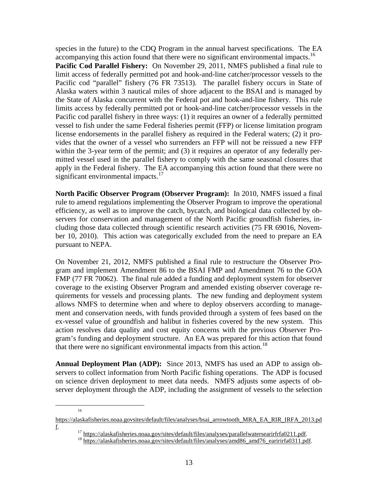species in the future) to the CDQ Program in the annual harvest specifications. The EA accompanying this action found that there were no significant environmental impacts.<sup>16</sup>

 **Pacific Cod Parallel Fishery:** On November 29, 2011, NMFS published a final rule to limits access by federally permitted pot or hook-and-line catcher/processor vessels in the license endorsements in the parallel fishery as required in the Federal waters; (2) it pro- apply in the Federal fishery. The EA accompanying this action found that there were no limit access of federally permitted pot and hook-and-line catcher/processor vessels to the Pacific cod "parallel" fishery (76 FR 73513). The parallel fishery occurs in State of Alaska waters within 3 nautical miles of shore adjacent to the BSAI and is managed by the State of Alaska concurrent with the Federal pot and hook-and-line fishery. This rule Pacific cod parallel fishery in three ways: (1) it requires an owner of a federally permitted vessel to fish under the same Federal fisheries permit (FFP) or license limitation program vides that the owner of a vessel who surrenders an FFP will not be reissued a new FFP within the 3-year term of the permit; and (3) it requires an operator of any federally permitted vessel used in the parallel fishery to comply with the same seasonal closures that significant environmental impacts.<sup>17</sup>

 **North Pacific Observer Program (Observer Program):** In 2010, NMFS issued a final rule to amend regulations implementing the Observer Program to improve the operational ber 10, 2010). This action was categorically excluded from the need to prepare an EA efficiency, as well as to improve the catch, bycatch, and biological data collected by observers for conservation and management of the North Pacific groundfish fisheries, including those data collected through scientific research activities (75 FR 69016, Novempursuant to NEPA.

 FMP (77 FR 70062). The final rule added a funding and deployment system for observer quirements for vessels and processing plants. The new funding and deployment system On November 21, 2012, NMFS published a final rule to restructure the Observer Program and implement Amendment 86 to the BSAI FMP and Amendment 76 to the GOA coverage to the existing Observer Program and amended existing observer coverage reallows NMFS to determine when and where to deploy observers according to management and conservation needs, with funds provided through a system of fees based on the ex-vessel value of groundfish and halibut in fisheries covered by the new system. This action resolves data quality and cost equity concerns with the previous Observer Program's funding and deployment structure. An EA was prepared for this action that found that there were no significant environmental impacts from this action.<sup>[18](#page-14-2)</sup>

 **Annual Deployment Plan (ADP):** Since 2013, NMFS has used an ADP to assign observers to collect information from North Pacific fishing operations. The ADP is focused on science driven deployment to meet data needs. NMFS adjusts some aspects of observer deployment through the ADP, including the assignment of vessels to the selection

 $16$ 

<span id="page-14-2"></span><span id="page-14-1"></span><span id="page-14-0"></span>https://alaskafisheries.noaa.govsites/default/files/analyses/bsai\_arrowtooth\_MRA\_EA\_RIR\_IRFA\_2013.pd f. 17 https://alaskafisheries.noaa.gov/sites/default/files/analyses/parallelwatersearirfrfa0211.pdf. 18 https://alaskafisheries.noaa.gov/sites/default/files/analyses/amd86\_amd76\_earirirfa0311.pdf.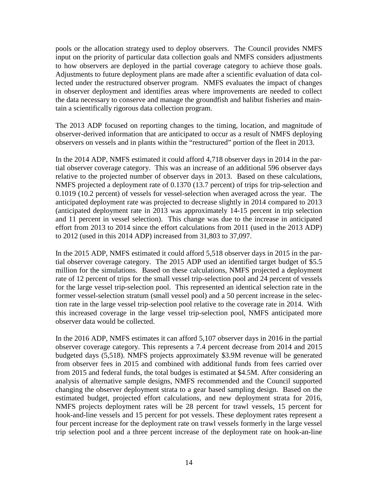to how observers are deployed in the partial coverage category to achieve those goals. pools or the allocation strategy used to deploy observers. The Council provides NMFS input on the priority of particular data collection goals and NMFS considers adjustments Adjustments to future deployment plans are made after a scientific evaluation of data collected under the restructured observer program. NMFS evaluates the impact of changes in observer deployment and identifies areas where improvements are needed to collect the data necessary to conserve and manage the groundfish and halibut fisheries and maintain a scientifically rigorous data collection program.

The 2013 ADP focused on reporting changes to the timing, location, and magnitude of observer-derived information that are anticipated to occur as a result of NMFS deploying observers on vessels and in plants within the "restructured" portion of the fleet in 2013.

 tial observer coverage category. This was an increase of an additional 596 observer days (anticipated deployment rate in 2013 was approximately 14-15 percent in trip selection and 11 percent in vessel selection). This change was due to the increase in anticipated In the 2014 ADP, NMFS estimated it could afford 4,718 observer days in 2014 in the parrelative to the projected number of observer days in 2013. Based on these calculations, NMFS projected a deployment rate of 0.1370 (13.7 percent) of trips for trip-selection and 0.1019 (10.2 percent) of vessels for vessel-selection when averaged across the year. The anticipated deployment rate was projected to decrease slightly in 2014 compared to 2013 effort from 2013 to 2014 since the effort calculations from 2011 (used in the 2013 ADP) to 2012 (used in this 2014 ADP) increased from 31,803 to 37,097.

 In the 2015 ADP, NMFS estimated it could afford 5,518 observer days in 2015 in the par- tial observer coverage category. The 2015 ADP used an identified target budget of \$5.5 rate of 12 percent of trips for the small vessel trip-selection pool and 24 percent of vessels former vessel-selection stratum (small vessel pool) and a 50 percent increase in the selec- observer data would be collected. million for the simulations. Based on these calculations, NMFS projected a deployment for the large vessel trip-selection pool. This represented an identical selection rate in the tion rate in the large vessel trip-selection pool relative to the coverage rate in 2014. With this increased coverage in the large vessel trip-selection pool, NMFS anticipated more

 In the 2016 ADP, NMFS estimates it can afford 5,107 observer days in 2016 in the partial observer coverage category. This represents a 7.4 percent decrease from 2014 and 2015 from observer fees in 2015 and combined with additional funds from fees carried over from 2015 and federal funds, the total budges is estimated at \$4.5M. After considering an changing the observer deployment strata to a gear based sampling design. Based on the NMFS projects deployment rates will be 28 percent for trawl vessels, 15 percent for hook-and-line vessels and 15 percent for pot vessels. These deployment rates represent a trip selection pool and a three percent increase of the deployment rate on hook-an-line budgeted days (5,518). NMFS projects approximately \$3.9M revenue will be generated analysis of alternative sample designs, NMFS recommended and the Council supported estimated budget, projected effort calculations, and new deployment strata for 2016, four percent increase for the deployment rate on trawl vessels formerly in the large vessel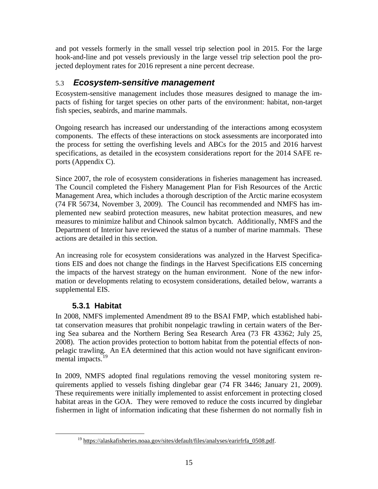<span id="page-16-0"></span> jected deployment rates for 2016 represent a nine percent decrease. and pot vessels formerly in the small vessel trip selection pool in 2015. For the large hook-and-line and pot vessels previously in the large vessel trip selection pool the pro-

### 5.3 *Ecosystem-sensitive management*

 pacts of fishing for target species on other parts of the environment: habitat, non-target fish species, seabirds, and marine mammals. Ecosystem-sensitive management includes those measures designed to manage the im-

 the process for setting the overfishing levels and ABCs for the 2015 and 2016 harvest Ongoing research has increased our understanding of the interactions among ecosystem components. The effects of these interactions on stock assessments are incorporated into specifications, as detailed in the ecosystem considerations report for the 2014 SAFE reports (Appendix C).

Since 2007, the role of ecosystem considerations in fisheries management has increased. (74 FR 56734, November 3, 2009). The Council has recommended and NMFS has im-The Council completed the Fishery Management Plan for Fish Resources of the Arctic Management Area, which includes a thorough description of the Arctic marine ecosystem plemented new seabird protection measures, new habitat protection measures, and new measures to minimize halibut and Chinook salmon bycatch. Additionally, NMFS and the Department of Interior have reviewed the status of a number of marine mammals. These actions are detailed in this section.

 An increasing role for ecosystem considerations was analyzed in the Harvest Specifica- the impacts of the harvest strategy on the human environment. None of the new infortions EIS and does not change the findings in the Harvest Specifications EIS concerning mation or developments relating to ecosystem considerations, detailed below, warrants a supplemental EIS.

### **5.3.1 Habitat**

<span id="page-16-1"></span> $\overline{a}$ 

 pelagic trawling. An EA determined that this action would not have significant environmental impacts.<sup>19</sup> In 2008, NMFS implemented Amendment 89 to the BSAI FMP, which established habitat conservation measures that prohibit nonpelagic trawling in certain waters of the Bering Sea subarea and the Northern Bering Sea Research Area (73 FR 43362; July 25, 2008). The action provides protection to bottom habitat from the potential effects of non-

In 2009, NMFS adopted final regulations removing the vessel monitoring system requirements applied to vessels fishing dinglebar gear (74 FR 3446; January 21, 2009). These requirements were initially implemented to assist enforcement in protecting closed habitat areas in the GOA. They were removed to reduce the costs incurred by dinglebar fishermen in light of information indicating that these fishermen do not normally fish in

<sup>&</sup>lt;sup>19</sup> https://alaskafisheries.noaa.gov/sites/default/files/analyses/earirfrfa\_0508.pdf.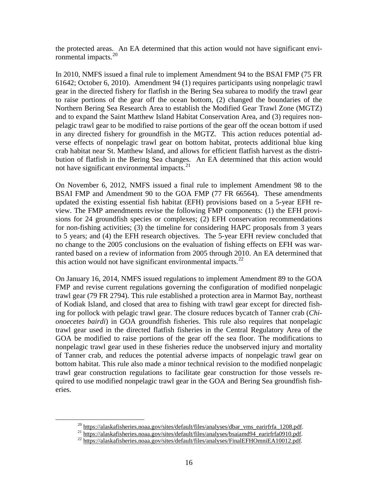the protected areas. An EA determined that this action would not have significant environmental impacts.<sup>20</sup>

 In 2010, NMFS issued a final rule to implement Amendment 94 to the BSAI FMP (75 FR and to expand the Saint Matthew Island Habitat Conservation Area, and (3) requires non- verse effects of nonpelagic trawl gear on bottom habitat, protects additional blue king crab habitat near St. Matthew Island, and allows for efficient flatfish harvest as the distri-61642; October 6, 2010). Amendment 94 (1) requires participants using nonpelagic trawl gear in the directed fishery for flatfish in the Bering Sea subarea to modify the trawl gear to raise portions of the gear off the ocean bottom, (2) changed the boundaries of the Northern Bering Sea Research Area to establish the Modified Gear Trawl Zone (MGTZ) pelagic trawl gear to be modified to raise portions of the gear off the ocean bottom if used in any directed fishery for groundfish in the MGTZ. This action reduces potential adbution of flatfish in the Bering Sea changes. An EA determined that this action would not have significant environmental impacts.<sup>21</sup>

 On November 6, 2012, NMFS issued a final rule to implement Amendment 98 to the sions for 24 groundfish species or complexes; (2) EFH conservation recommendations to 5 years; and (4) the EFH research objectives. The 5-year EFH review concluded that BSAI FMP and Amendment 90 to the GOA FMP (77 FR 66564). These amendments updated the existing essential fish habitat (EFH) provisions based on a 5-year EFH review. The FMP amendments revise the following FMP components: (1) the EFH provifor non-fishing activities; (3) the timeline for considering HAPC proposals from 3 years no change to the 2005 conclusions on the evaluation of fishing effects on EFH was warranted based on a review of information from 2005 through 2010. An EA determined that this action would not have significant environmental impacts. $^{22}$ 

 On January 16, 2014, NMFS issued regulations to implement Amendment 89 to the GOA trawl gear used in the directed flatfish fisheries in the Central Regulatory Area of the GOA be modified to raise portions of the gear off the sea floor. The modifications to of Tanner crab, and reduces the potential adverse impacts of nonpelagic trawl gear on eries. FMP and revise current regulations governing the configuration of modified nonpelagic trawl gear (79 FR 2794). This rule established a protection area in Marmot Bay, northeast of Kodiak Island, and closed that area to fishing with trawl gear except for directed fishing for pollock with pelagic trawl gear. The closure reduces bycatch of Tanner crab (*Chionoecetes bairdi*) in GOA groundfish fisheries. This rule also requires that nonpelagic nonpelagic trawl gear used in these fisheries reduce the unobserved injury and mortality bottom habitat. This rule also made a minor technical revision to the modified nonpelagic trawl gear construction regulations to facilitate gear construction for those vessels required to use modified nonpelagic trawl gear in the GOA and Bering Sea groundfish fish-

<span id="page-17-2"></span><span id="page-17-1"></span><span id="page-17-0"></span><u>.</u>

 $^{20}$  https://alaskafisheries.noaa.gov/sites/default/files/analyses/dbar\_vms\_earirfrfa\_1208.pdf.<br>  $^{21}$  https://alaskafisheries.noaa.gov/sites/default/files/analyses/bsaiamd94\_earirfrfa0910.pdf.<br>  $^{22}$  https://alaskafi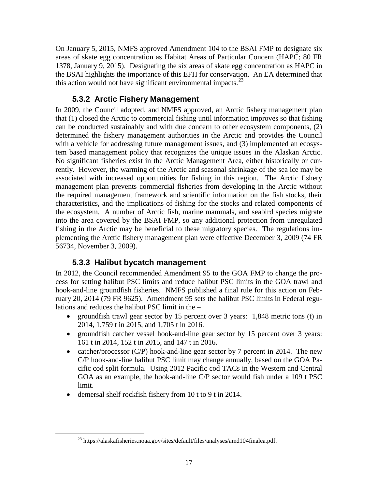<span id="page-18-0"></span> 1378, January 9, 2015). Designating the six areas of skate egg concentration as HAPC in the BSAI highlights the importance of this EFH for conservation. An EA determined that On January 5, 2015, NMFS approved Amendment 104 to the BSAI FMP to designate six areas of skate egg concentration as Habitat Areas of Particular Concern (HAPC; 80 FR this action would not have significant environmental impacts. $^{23}$ 

#### **5.3.2 Arctic Fishery Management**

 the ecosystem. A number of Arctic fish, marine mammals, and seabird species migrate into the area covered by the BSAI FMP, so any additional protection from unregulated fishing in the Arctic may be beneficial to these migratory species. The regulations im- 56734, November 3, 2009). In 2009, the Council adopted, and NMFS approved, an Arctic fishery management plan that (1) closed the Arctic to commercial fishing until information improves so that fishing can be conducted sustainably and with due concern to other ecosystem components, (2) determined the fishery management authorities in the Arctic and provides the Council with a vehicle for addressing future management issues, and (3) implemented an ecosystem based management policy that recognizes the unique issues in the Alaskan Arctic. No significant fisheries exist in the Arctic Management Area, either historically or currently. However, the warming of the Arctic and seasonal shrinkage of the sea ice may be associated with increased opportunities for fishing in this region. The Arctic fishery management plan prevents commercial fisheries from developing in the Arctic without the required management framework and scientific information on the fish stocks, their characteristics, and the implications of fishing for the stocks and related components of plementing the Arctic fishery management plan were effective December 3, 2009 (74 FR

#### **5.3.3 Halibut bycatch management**

 hook-and-line groundfish fisheries. NMFS published a final rule for this action on Feb- ruary 20, 2014 (79 FR 9625). Amendment 95 sets the halibut PSC limits in Federal regu- lations and reduces the halibut PSC limit in the – In 2012, the Council recommended Amendment 95 to the GOA FMP to change the process for setting halibut PSC limits and reduce halibut PSC limits in the GOA trawl and

- ground fish trawl gear sector by 15 percent over 3 years: 1,848 metric tons (t) in 2014, 1,759 t in 2015, and 1,705 t in 2016.
- • groundfish catcher vessel hook-and-line gear sector by 15 percent over 3 years: 161 t in 2014, 152 t in 2015, and 147 t in 2016.
- catcher/processor (C/P) hook-and-line gear sector by 7 percent in 2014. The new C/P hook-and-line halibut PSC limit may change annually, based on the GOA Pa- limit. cific cod split formula. Using 2012 Pacific cod TACs in the Western and Central GOA as an example, the hook-and-line C/P sector would fish under a 109 t PSC
- demersal shelf rockfish fishery from 10 t to 9 t in 2014.

<span id="page-18-1"></span><sup>&</sup>lt;sup>23</sup> https://alaskafisheries.noaa.gov/sites/default/files/analyses/amd104finalea.pdf.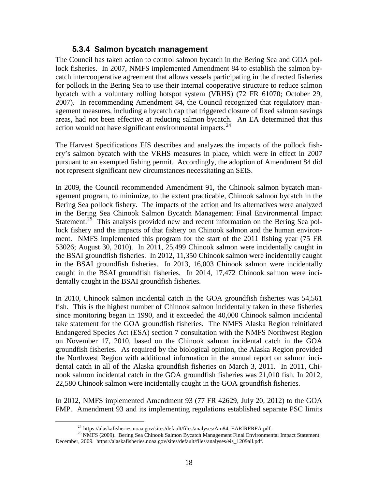#### **5.3.4 Salmon bycatch management**

<span id="page-19-0"></span> The Council has taken action to control salmon bycatch in the Bering Sea and GOA pol- lock fisheries. In 2007, NMFS implemented Amendment 84 to establish the salmon by- bycatch with a voluntary rolling hotspot system (VRHS) (72 FR 61070; October 29, areas, had not been effective at reducing salmon bycatch. An EA determined that this catch intercooperative agreement that allows vessels participating in the directed fisheries for pollock in the Bering Sea to use their internal cooperative structure to reduce salmon 2007). In recommending Amendment 84, the Council recognized that regulatory management measures, including a bycatch cap that triggered closure of fixed salmon savings action would not have significant environmental impacts.<sup>[24](#page-19-1)</sup>

 ery's salmon bycatch with the VRHS measures in place, which were in effect in 2007 pursuant to an exempted fishing permit. Accordingly, the adoption of Amendment 84 did not represent significant new circumstances necessitating an SEIS. The Harvest Specifications EIS describes and analyzes the impacts of the pollock fish-

Statement.<sup>25</sup> This analysis provided new and recent information on the Bering Sea pol- the BSAI groundfish fisheries. In 2012, 11,350 Chinook salmon were incidentally caught in the BSAI groundfish fisheries. In 2013, 16,003 Chinook salmon were incidentally caught in the BSAI groundfish fisheries. In 2014, 17,472 Chinook salmon were inci-In 2009, the Council recommended Amendment 91, the Chinook salmon bycatch management program, to minimize, to the extent practicable, Chinook salmon bycatch in the Bering Sea pollock fishery. The impacts of the action and its alternatives were analyzed in the Bering Sea Chinook Salmon Bycatch Management Final Environmental Impact lock fishery and the impacts of that fishery on Chinook salmon and the human environment. NMFS implemented this program for the start of the 2011 fishing year (75 FR 53026; August 30, 2010). In 2011, 25,499 Chinook salmon were incidentally caught in dentally caught in the BSAI groundfish fisheries.

 take statement for the GOA groundfish fisheries. The NMFS Alaska Region reinitiated nook salmon incidental catch in the GOA groundfish fisheries was 21,010 fish. In 2012, 22,580 Chinook salmon were incidentally caught in the GOA groundfish fisheries. In 2010, Chinook salmon incidental catch in the GOA groundfish fisheries was 54,561 fish. This is the highest number of Chinook salmon incidentally taken in these fisheries since monitoring began in 1990, and it exceeded the 40,000 Chinook salmon incidental Endangered Species Act (ESA) section 7 consultation with the NMFS Northwest Region on November 17, 2010, based on the Chinook salmon incidental catch in the GOA groundfish fisheries. As required by the biological opinion, the Alaska Region provided the Northwest Region with additional information in the annual report on salmon incidental catch in all of the Alaska groundfish fisheries on March 3, 2011. In 2011, Chi-

 In 2012, NMFS implemented Amendment 93 (77 FR 42629, July 20, 2012) to the GOA FMP. Amendment 93 and its implementing regulations established separate PSC limits

<u>.</u>

<span id="page-19-2"></span><span id="page-19-1"></span>December, 2009. https://alaskafisheries.noaa.gov/sites/default/files/analyses/eis\_1209all.pdf. <sup>24</sup> https://alaskafisheries.noaa.gov/sites/default/files/analyses/Am84\_EARIRFRFA.pdf. <sup>25</sup> NMFS (2009). Bering Sea Chinook Salmon Bycatch Management Final Environmental Impact Statement.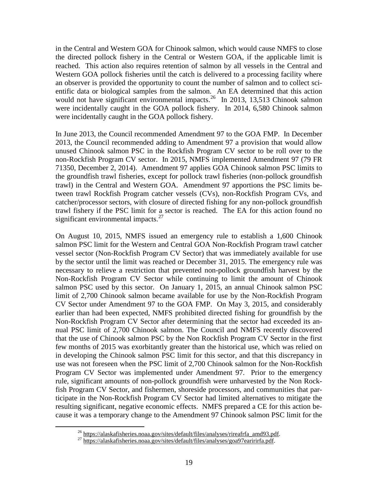Western GOA pollock fisheries until the catch is delivered to a processing facility where would not have significant environmental impacts.<sup>[26](#page-20-0)</sup> In 2013, 13,513 Chinook salmon were incidentally caught in the GOA pollock fishery. In 2014, 6,580 Chinook salmon were incidentally caught in the GOA pollock fishery. in the Central and Western GOA for Chinook salmon, which would cause NMFS to close the directed pollock fishery in the Central or Western GOA, if the applicable limit is reached. This action also requires retention of salmon by all vessels in the Central and an observer is provided the opportunity to count the number of salmon and to collect scientific data or biological samples from the salmon. An EA determined that this action

 In June 2013, the Council recommended Amendment 97 to the GOA FMP. In December unused Chinook salmon PSC in the Rockfish Program CV sector to be roll over to the 2013, the Council recommended adding to Amendment 97 a provision that would allow non-Rockfish Program CV sector. In 2015, NMFS implemented Amendment 97 (79 FR 71350, December 2, 2014). Amendment 97 applies GOA Chinook salmon PSC limits to the groundfish trawl fisheries, except for pollock trawl fisheries (non-pollock groundfish trawl) in the Central and Western GOA. Amendment 97 apportions the PSC limits between trawl Rockfish Program catcher vessels (CVs), non-Rockfish Program CVs, and catcher/processor sectors, with closure of directed fishing for any non-pollock groundfish trawl fishery if the PSC limit for a sector is reached. The EA for this action found no significant environmental impacts. $27$ 

 limit of 2,700 Chinook salmon became available for use by the Non-Rockfish Program On August 10, 2015, NMFS issued an emergency rule to establish a 1,600 Chinook salmon PSC limit for the Western and Central GOA Non-Rockfish Program trawl catcher vessel sector (Non-Rockfish Program CV Sector) that was immediately available for use by the sector until the limit was reached or December 31, 2015. The emergency rule was necessary to relieve a restriction that prevented non-pollock groundfish harvest by the Non-Rockfish Program CV Sector while continuing to limit the amount of Chinook salmon PSC used by this sector. On January 1, 2015, an annual Chinook salmon PSC CV Sector under Amendment 97 to the GOA FMP. On May 3, 2015, and considerably earlier than had been expected, NMFS prohibited directed fishing for groundfish by the Non-Rockfish Program CV Sector after determining that the sector had exceeded its annual PSC limit of 2,700 Chinook salmon. The Council and NMFS recently discovered that the use of Chinook salmon PSC by the Non Rockfish Program CV Sector in the first few months of 2015 was exorbitantly greater than the historical use, which was relied on in developing the Chinook salmon PSC limit for this sector, and that this discrepancy in use was not foreseen when the PSC limit of 2,700 Chinook salmon for the Non-Rockfish Program CV Sector was implemented under Amendment 97. Prior to the emergency rule, significant amounts of non-pollock groundfish were unharvested by the Non Rockfish Program CV Sector, and fishermen, shoreside processors, and communities that participate in the Non-Rockfish Program CV Sector had limited alternatives to mitigate the resulting significant, negative economic effects. NMFS prepared a CE for this action because it was a temporary change to the Amendment 97 Chinook salmon PSC limit for the

<sup>&</sup>lt;sup>26</sup> https://alaskafisheries.noaa.gov/sites/default/files/analyses/rireafrfa\_amd93.pdf. <sup>27</sup> https://alaskafisheries.noaa.gov/sites/default/files/analyses/goa97earirirfa.pdf.

<span id="page-20-1"></span><span id="page-20-0"></span>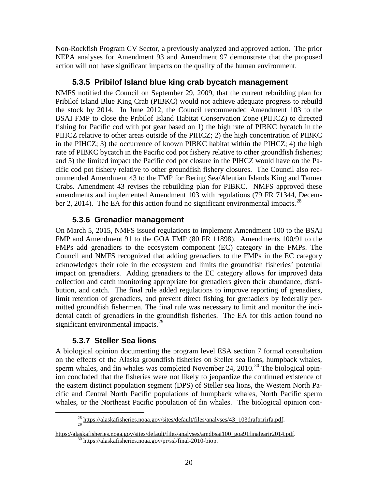<span id="page-21-0"></span>Non-Rockfish Program CV Sector, a previously analyzed and approved action. The prior NEPA analyses for Amendment 93 and Amendment 97 demonstrate that the proposed action will not have significant impacts on the quality of the human environment.

#### **5.3.5 Pribilof Island blue king crab bycatch management**

NMFS notified the Council on September 29, 2009, that the current rebuilding plan for Pribilof Island Blue King Crab (PIBKC) would not achieve adequate progress to rebuild the stock by 2014. In June 2012, the Council recommended Amendment 103 to the BSAI FMP to close the Pribilof Island Habitat Conservation Zone (PIHCZ) to directed fishing for Pacific cod with pot gear based on 1) the high rate of PIBKC bycatch in the PIHCZ relative to other areas outside of the PIHCZ; 2) the high concentration of PIBKC in the PIHCZ; 3) the occurrence of known PIBKC habitat within the PIHCZ; 4) the high rate of PIBKC bycatch in the Pacific cod pot fishery relative to other groundfish fisheries; and 5) the limited impact the Pacific cod pot closure in the PIHCZ would have on the Pacific cod pot fishery relative to other groundfish fishery closures. The Council also recommended Amendment 43 to the FMP for Bering Sea/Aleutian Islands King and Tanner Crabs. Amendment 43 revises the rebuilding plan for PIBKC. NMFS approved these amendments and implemented Amendment 103 with regulations (79 FR 71344, December 2, 2014). The EA for this action found no significant environmental impacts.<sup>28</sup>

#### **5.3.6 Grenadier management**

 collection and catch monitoring appropriate for grenadiers given their abundance, distri- bution, and catch. The final rule added regulations to improve reporting of grenadiers, On March 5, 2015, NMFS issued regulations to implement Amendment 100 to the BSAI FMP and Amendment 91 to the GOA FMP (80 FR 11898). Amendments 100/91 to the FMPs add grenadiers to the ecosystem component (EC) category in the FMPs. The Council and NMFS recognized that adding grenadiers to the FMPs in the EC category acknowledges their role in the ecosystem and limits the groundfish fisheries' potential impact on grenadiers. Adding grenadiers to the EC category allows for improved data limit retention of grenadiers, and prevent direct fishing for grenadiers by federally permitted groundfish fishermen. The final rule was necessary to limit and monitor the incidental catch of grenadiers in the groundfish fisheries. The EA for this action found no significant environmental impacts. $^{29}$ 

#### **5.3.7 Steller Sea lions**

<span id="page-21-1"></span> $\overline{a}$ 

sperm whales, and fin whales was completed November 24, 2010.<sup>[30](#page-21-3)</sup> The biological opin-A biological opinion documenting the program level ESA section 7 formal consultation on the effects of the Alaska groundfish fisheries on Steller sea lions, humpback whales, ion concluded that the fisheries were not likely to jeopardize the continued existence of the eastern distinct population segment (DPS) of Steller sea lions, the Western North Pacific and Central North Pacific populations of humpback whales, North Pacific sperm whales, or the Northeast Pacific population of fin whales. The biological opinion con-

 $^{28}$  https://alaskafisheries.noaa.gov/sites/default/files/analyses/43\_103draftririrfa.pdf.

<span id="page-21-3"></span><span id="page-21-2"></span>https://alaskafisheries.noaa.gov/sites/default/files/analyses/amdbsai100\_goa91finalearir2014.pdf.  $\frac{30 \text{ https://alaskafisheries.noaa.gov/pr/ssl/final-2010-biop.}}{30 \text{ https://alaskafisheries.noaa.gov/pr/ssl/final-2010-biop.}}$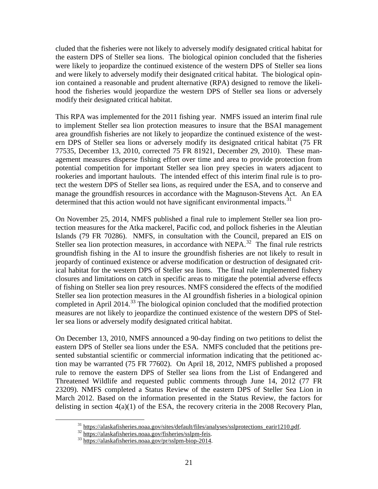modify their designated critical habitat. cluded that the fisheries were not likely to adversely modify designated critical habitat for the eastern DPS of Steller sea lions. The biological opinion concluded that the fisheries were likely to jeopardize the continued existence of the western DPS of Steller sea lions and were likely to adversely modify their designated critical habitat. The biological opinion contained a reasonable and prudent alternative (RPA) designed to remove the likelihood the fisheries would jeopardize the western DPS of Steller sea lions or adversely

 manage the groundfish resources in accordance with the Magnuson-Stevens Act. An EA determined that this action would not have significant environmental impacts. $31$ This RPA was implemented for the 2011 fishing year. NMFS issued an interim final rule to implement Steller sea lion protection measures to insure that the BSAI management area groundfish fisheries are not likely to jeopardize the continued existence of the western DPS of Steller sea lions or adversely modify its designated critical habitat (75 FR 77535, December 13, 2010, corrected 75 FR 81921, December 29, 2010). These management measures disperse fishing effort over time and area to provide protection from potential competition for important Steller sea lion prey species in waters adjacent to rookeries and important haulouts. The intended effect of this interim final rule is to protect the western DPS of Steller sea lions, as required under the ESA, and to conserve and

Steller sea lion protection measures, in accordance with NEPA.<sup>[32](#page-22-1)</sup> The final rule restricts completed in April 2014. $33$  The biological opinion concluded that the modified protection On November 25, 2014, NMFS published a final rule to implement Steller sea lion protection measures for the Atka mackerel, Pacific cod, and pollock fisheries in the Aleutian Islands (79 FR 70286). NMFS, in consultation with the Council, prepared an EIS on groundfish fishing in the AI to insure the groundfish fisheries are not likely to result in jeopardy of continued existence or adverse modification or destruction of designated critical habitat for the western DPS of Steller sea lions. The final rule implemented fishery closures and limitations on catch in specific areas to mitigate the potential adverse effects of fishing on Steller sea lion prey resources. NMFS considered the effects of the modified Steller sea lion protection measures in the AI groundfish fisheries in a biological opinion measures are not likely to jeopardize the continued existence of the western DPS of Steller sea lions or adversely modify designated critical habitat.

On December 13, 2010, NMFS announced a 90-day finding on two petitions to delist the eastern DPS of Steller sea lions under the ESA. NMFS concluded that the petitions presented substantial scientific or commercial information indicating that the petitioned action may be warranted (75 FR 77602). On April 18, 2012, NMFS published a proposed rule to remove the eastern DPS of Steller sea lions from the List of Endangered and Threatened Wildlife and requested public comments through June 14, 2012 (77 FR 23209). NMFS completed a Status Review of the eastern DPS of Steller Sea Lion in March 2012. Based on the information presented in the Status Review, the factors for delisting in section 4(a)(1) of the ESA, the recovery criteria in the 2008 Recovery Plan,

<span id="page-22-1"></span><span id="page-22-0"></span><sup>&</sup>lt;sup>31</sup> https://alaskafisheries.noaa.gov/sites/default/files/analyses/sslprotections\_earir1210.pdf.  $\frac{32 \text{ https://alaskafisheries.noaa.gov/fisheries/sslpm-feis}}{33 \text{ https://alaskafisheries.noaa.gov/pr/sslpm-biop-2014}}$ .

<span id="page-22-2"></span>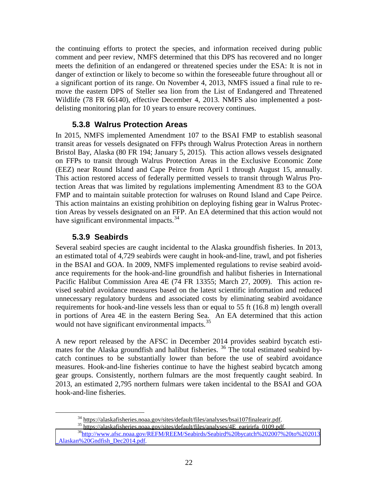<span id="page-23-0"></span>the continuing efforts to protect the species, and information received during public comment and peer review, NMFS determined that this DPS has recovered and no longer meets the definition of an endangered or threatened species under the ESA: It is not in danger of extinction or likely to become so within the foreseeable future throughout all or a significant portion of its range. On November 4, 2013, NMFS issued a final rule to remove the eastern DPS of Steller sea lion from the List of Endangered and Threatened Wildlife (78 FR 66140), effective December 4, 2013. NMFS also implemented a postdelisting monitoring plan for 10 years to ensure recovery continues.

#### **5.3.8 Walrus Protection Areas**

 on FFPs to transit through Walrus Protection Areas in the Exclusive Economic Zone (EEZ) near Round Island and Cape Peirce from April 1 through August 15, annually. In 2015, NMFS implemented Amendment 107 to the BSAI FMP to establish seasonal transit areas for vessels designated on FFPs through Walrus Protection Areas in northern Bristol Bay, Alaska (80 FR 194; January 5, 2015). This action allows vessels designated This action restored access of federally permitted vessels to transit through Walrus Protection Areas that was limited by regulations implementing Amendment 83 to the GOA FMP and to maintain suitable protection for walruses on Round Island and Cape Peirce. This action maintains an existing prohibition on deploying fishing gear in Walrus Protection Areas by vessels designated on an FFP. An EA determined that this action would not have significant environmental impacts.<sup>34</sup>

#### **5.3.9 Seabirds**

 $\overline{a}$ 

 an estimated total of 4,729 seabirds were caught in hook-and-line, trawl, and pot fisheries in the BSAI and GOA. In 2009, NMFS implemented regulations to revise seabird avoid- vised seabird avoidance measures based on the latest scientific information and reduced Several seabird species are caught incidental to the Alaska groundfish fisheries. In 2013, ance requirements for the hook-and-line groundfish and halibut fisheries in International Pacific Halibut Commission Area 4E (74 FR 13355; March 27, 2009). This action reunnecessary regulatory burdens and associated costs by eliminating seabird avoidance requirements for hook-and-line vessels less than or equal to 55 ft (16.8 m) length overall in portions of Area 4E in the eastern Bering Sea. An EA determined that this action would not have significant environmental impacts.<sup>35</sup>

mates for the Alaska groundfish and halibut fisheries. <sup>[36](#page-23-3)</sup> The total estimated seabird by-A new report released by the AFSC in December 2014 provides seabird bycatch esticatch continues to be substantially lower than before the use of seabird avoidance measures. Hook-and-line fisheries continue to have the highest seabird bycatch among gear groups. Consistently, northern fulmars are the most frequently caught seabird. In 2013, an estimated 2,795 northern fulmars were taken incidental to the BSAI and GOA hook-and-line fisheries.

<span id="page-23-3"></span><span id="page-23-2"></span><span id="page-23-1"></span><sup>&</sup>lt;sup>34</sup> https://alaskafisheries.noaa.gov/sites/default/files/analyses/bsai107finalearir.pdf.<br><sup>35</sup> https://alaskafisheries.noaa.gov/sites/default/files/analyses/4E\_earirirfa\_0109.pdf.<br><sup>36</sup>http://www<u>.afsc.noaa.gov/REFM/REEM/Se</u> \_Alaskan%20Gndfish\_Dec2014.pdf.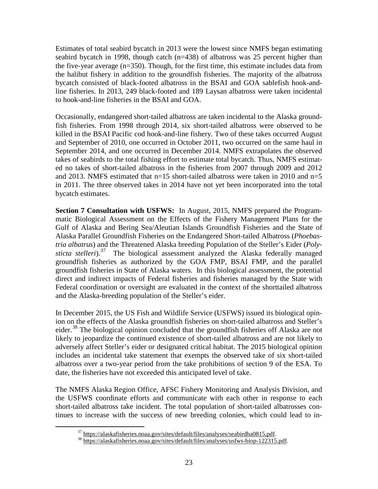Estimates of total seabird bycatch in 2013 were the lowest since NMFS began estimating seabird bycatch in 1998, though catch (n=438) of albatross was 25 percent higher than the five-year average (n=350). Though, for the first time, this estimate includes data from the halibut fishery in addition to the groundfish fisheries. The majority of the albatross bycatch consisted of black-footed albatross in the BSAI and GOA sablefish hook-andline fisheries. In 2013, 249 black-footed and 189 Laysan albatross were taken incidental to hook-and-line fisheries in the BSAI and GOA.

 in 2011. The three observed takes in 2014 have not yet been incorporated into the total Occasionally, endangered short-tailed albatross are taken incidental to the Alaska groundfish fisheries. From 1998 through 2014, six short-tailed albatross were observed to be killed in the BSAI Pacific cod hook-and-line fishery. Two of these takes occurred August and September of 2010, one occurred in October 2011, two occurred on the same haul in September 2014, and one occurred in December 2014. NMFS extrapolates the observed takes of seabirds to the total fishing effort to estimate total bycatch. Thus, NMFS estimated no takes of short-tailed albatross in the fisheries from 2007 through 2009 and 2012 and 2013. NMFS estimated that  $n=15$  short-tailed albatross were taken in 2010 and  $n=5$ bycatch estimates.

 **Section 7 Consultation with USFWS:** In August, 2015, NMFS prepared the Program-sticta stelleri).<sup>[37](#page-24-0)</sup> The biological assessment analyzed the Alaska federally managed matic Biological Assessment on the Effects of the Fishery Management Plans for the Gulf of Alaska and Bering Sea/Aleutian Islands Groundfish Fisheries and the State of Alaska Parallel Groundfish Fisheries on the Endangered Short-tailed Albatross (*Phoebastria albatrus*) and the Threatened Alaska breeding Population of the Steller's Eider (*Poly*groundfish fisheries as authorized by the GOA FMP, BSAI FMP, and the parallel groundfish fisheries in State of Alaska waters. In this biological assessment, the potential direct and indirect impacts of Federal fisheries and fisheries managed by the State with Federal coordination or oversight are evaluated in the context of the shorttailed albatross and the Alaska-breeding population of the Steller's eider.

 ion on the effects of the Alaska groundfish fisheries on short-tailed albatross and Steller's In December 2015, the US Fish and Wildlife Service (USFWS) issued its biological opineider.<sup>38</sup> The biological opinion concluded that the groundfish fisheries off Alaska are not likely to jeopardize the continued existence of short-tailed albatross and are not likely to adversely affect Steller's eider or designated critical habitat. The 2015 biological opinion includes an incidental take statement that exempts the observed take of six short-tailed albatross over a two-year period from the take prohibitions of section 9 of the ESA. To date, the fisheries have not exceeded this anticipated level of take.

<span id="page-24-0"></span> the USFWS coordinate efforts and communicate with each other in response to each The NMFS Alaska Region Office, AFSC Fishery Monitoring and Analysis Division, and short-tailed albatross take incident. The total population of short-tailed albatrosses continues to increase with the success of new breeding colonies, which could lead to in-

 $\frac{37}{38}$  https://alaskafisheries.noaa.gov/sites/default/files/analyses/seabirdba0815.pdf.<br> $\frac{38}{38}$  https://alaskafisheries.noaa.gov/sites/default/files/analyses/usfws-biop-122315.pdf.

<span id="page-24-1"></span>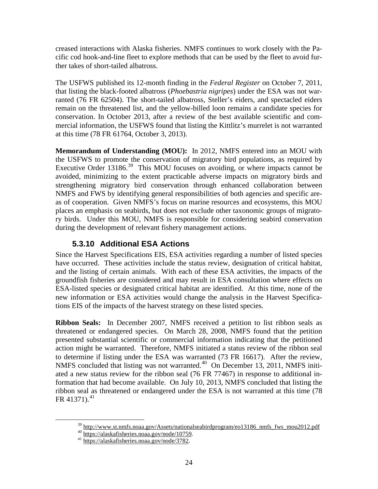<span id="page-25-0"></span> creased interactions with Alaska fisheries. NMFS continues to work closely with the Pa- cific cod hook-and-line fleet to explore methods that can be used by the fleet to avoid further takes of short-tailed albatross.

 ranted (76 FR 62504). The short-tailed albatross, Steller's eiders, and spectacled eiders The USFWS published its 12-month finding in the *Federal Register* on October 7, 2011, that listing the black-footed albatross (*Phoebastria nigripes*) under the ESA was not warremain on the threatened list, and the yellow-billed loon remains a candidate species for conservation. In October 2013, after a review of the best available scientific and commercial information, the USFWS found that listing the Kittlitz's murrelet is not warranted at this time (78 FR 61764, October 3, 2013).

 **Memorandum of Understanding (MOU):** In 2012, NMFS entered into an MOU with Executive Order 13186.<sup>39</sup> This MOU focuses on avoiding, or where impacts cannot be the USFWS to promote the conservation of migratory bird populations, as required by avoided, minimizing to the extent practicable adverse impacts on migratory birds and strengthening migratory bird conservation through enhanced collaboration between NMFS and FWS by identifying general responsibilities of both agencies and specific areas of cooperation. Given NMFS's focus on marine resources and ecosystems, this MOU places an emphasis on seabirds, but does not exclude other taxonomic groups of migratory birds. Under this MOU, NMFS is responsible for considering seabird conservation during the development of relevant fishery management actions.

#### **5.3.10 Additional ESA Actions**

 and the listing of certain animals. With each of these ESA activities, the impacts of the tions EIS of the impacts of the harvest strategy on these listed species. Since the Harvest Specifications EIS, ESA activities regarding a number of listed species have occurred. These activities include the status review, designation of critical habitat, groundfish fisheries are considered and may result in ESA consultation where effects on ESA-listed species or designated critical habitat are identified. At this time, none of the new information or ESA activities would change the analysis in the Harvest Specifica-

**Ribbon Seals:** In December 2007, NMFS received a petition to list ribbon seals as NMFS concluded that listing was not warranted.<sup>[40](#page-25-2)</sup> On December 13, 2011, NMFS initi- formation that had become available. On July 10, 2013, NMFS concluded that listing the threatened or endangered species. On March 28, 2008, NMFS found that the petition presented substantial scientific or commercial information indicating that the petitioned action might be warranted. Therefore, NMFS initiated a status review of the ribbon seal to determine if listing under the ESA was warranted (73 FR 16617). After the review, ated a new status review for the ribbon seal (76 FR 77467) in response to additional inribbon seal as threatened or endangered under the ESA is not warranted at this time (78 FR [41](#page-25-3)371). $^{41}$ 

<span id="page-25-3"></span><span id="page-25-2"></span><span id="page-25-1"></span><u>.</u>

<sup>&</sup>lt;sup>39</sup> http://www.st.nmfs.noaa.gov/Assets/nationalseabirdprogram/eo13186\_nmfs\_fws\_mou2012.pdf <br><sup>40</sup> https://alaskafisheries.noaa.gov/node/10759.<br><sup>41</sup> https://alaskafisheries.noaa.gov/node/3782.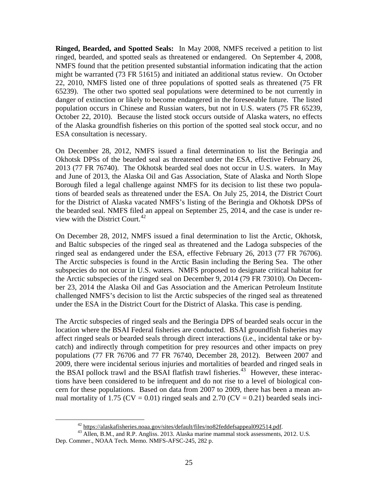**Ringed, Bearded, and Spotted Seals:** In May 2008, NMFS received a petition to list might be warranted (73 FR 51615) and initiated an additional status review. On October ringed, bearded, and spotted seals as threatened or endangered. On September 4, 2008, NMFS found that the petition presented substantial information indicating that the action 22, 2010, NMFS listed one of three populations of spotted seals as threatened (75 FR 65239). The other two spotted seal populations were determined to be not currently in danger of extinction or likely to become endangered in the foreseeable future. The listed population occurs in Chinese and Russian waters, but not in U.S. waters (75 FR 65239, October 22, 2010). Because the listed stock occurs outside of Alaska waters, no effects of the Alaska groundfish fisheries on this portion of the spotted seal stock occur, and no ESA consultation is necessary.

On December 28, 2012, NMFS issued a final determination to list the Beringia and Okhotsk DPSs of the bearded seal as threatened under the ESA, effective February 26, 2013 (77 FR 76740). The Okhotsk bearded seal does not occur in U.S. waters. In May and June of 2013, the Alaska Oil and Gas Association, State of Alaska and North Slope Borough filed a legal challenge against NMFS for its decision to list these two populations of bearded seals as threatened under the ESA. On July 25, 2014, the District Court for the District of Alaska vacated NMFS's listing of the Beringia and Okhotsk DPSs of the bearded seal. NMFS filed an appeal on September 25, 2014, and the case is under review with the District Court.  $42$ 

ringed seal as endangered under the ESA, effective February 26, 2013 (77 FR 76706). subspecies do not occur in U.S. waters. NMFS proposed to designate critical habitat for ber 23, 2014 the Alaska Oil and Gas Association and the American Petroleum Institute under the ESA in the District Court for the District of Alaska. This case is pending. On December 28, 2012, NMFS issued a final determination to list the Arctic, Okhotsk, and Baltic subspecies of the ringed seal as threatened and the Ladoga subspecies of the The Arctic subspecies is found in the Arctic Basin including the Bering Sea. The other the Arctic subspecies of the ringed seal on December 9, 2014 (79 FR 73010). On Decemchallenged NMFS's decision to list the Arctic subspecies of the ringed seal as threatened

 location where the BSAI Federal fisheries are conducted. BSAI groundfish fisheries may the BSAI pollock trawl and the BSAI flatfish trawl fisheries.<sup>[43](#page-26-1)</sup> However, these interac- tions have been considered to be infrequent and do not rise to a level of biological con- cern for these populations. Based on data from 2007 to 2009, there has been a mean an-The Arctic subspecies of ringed seals and the Beringia DPS of bearded seals occur in the affect ringed seals or bearded seals through direct interactions (i.e., incidental take or bycatch) and indirectly through competition for prey resources and other impacts on prey populations (77 FR 76706 and 77 FR 76740, December 28, 2012). Between 2007 and 2009, there were incidental serious injuries and mortalities of bearded and ringed seals in nual mortality of 1.75 ( $CV = 0.01$ ) ringed seals and 2.70 ( $CV = 0.21$ ) bearded seals inci-

<span id="page-26-1"></span><span id="page-26-0"></span><sup>&</sup>lt;sup>42</sup> https://alaskafisheries.noaa.gov/sites/default/files/no82feddefsappeal092514.pdf.<br><sup>43</sup> Allen, B.M., and R.P. Angliss. 2013. Alaska marine mammal stock assessments, 2012. U.S. Dep. Commer., NOAA Tech. Memo. NMFS-AFSC-245, 282 p.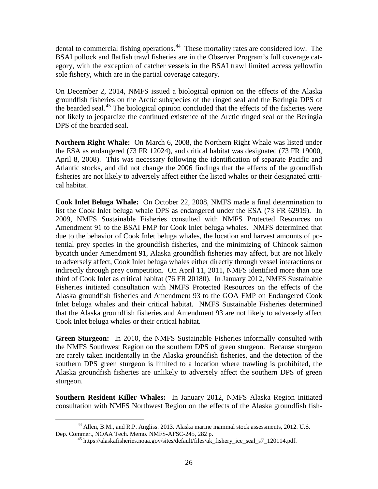dental to commercial fishing operations.<sup>44</sup> These mortality rates are considered low. The BSAI pollock and flatfish trawl fisheries are in the Observer Program's full coverage category, with the exception of catcher vessels in the BSAI trawl limited access yellowfin sole fishery, which are in the partial coverage category.

On December 2, 2014, NMFS issued a biological opinion on the effects of the Alaska groundfish fisheries on the Arctic subspecies of the ringed seal and the Beringia DPS of the bearded seal.<sup>45</sup> The biological opinion concluded that the effects of the fisheries were not likely to jeopardize the continued existence of the Arctic ringed seal or the Beringia DPS of the bearded seal.

 **Northern Right Whale:** On March 6, 2008, the Northern Right Whale was listed under Atlantic stocks, and did not change the 2006 findings that the effects of the groundfish cal habitat. the ESA as endangered (73 FR 12024), and critical habitat was designated (73 FR 19000, April 8, 2008). This was necessary following the identification of separate Pacific and fisheries are not likely to adversely affect either the listed whales or their designated criti-

 **Cook Inlet Beluga Whale:** On October 22, 2008, NMFS made a final determination to list the Cook Inlet beluga whale DPS as endangered under the ESA (73 FR 62919). In 2009, NMFS Sustainable Fisheries consulted with NMFS Protected Resources on to adversely affect, Cook Inlet beluga whales either directly through vessel interactions or indirectly through prey competition. On April 11, 2011, NMFS identified more than one third of Cook Inlet as critical habitat (76 FR 20180). In January 2012, NMFS Sustainable Amendment 91 to the BSAI FMP for Cook Inlet beluga whales. NMFS determined that due to the behavior of Cook Inlet beluga whales, the location and harvest amounts of potential prey species in the groundfish fisheries, and the minimizing of Chinook salmon bycatch under Amendment 91, Alaska groundfish fisheries may affect, but are not likely Fisheries initiated consultation with NMFS Protected Resources on the effects of the Alaska groundfish fisheries and Amendment 93 to the GOA FMP on Endangered Cook Inlet beluga whales and their critical habitat. NMFS Sustainable Fisheries determined that the Alaska groundfish fisheries and Amendment 93 are not likely to adversely affect Cook Inlet beluga whales or their critical habitat.

 **Green Sturgeon:** In 2010, the NMFS Sustainable Fisheries informally consulted with the NMFS Southwest Region on the southern DPS of green sturgeon. Because sturgeon are rarely taken incidentally in the Alaska groundfish fisheries, and the detection of the southern DPS green sturgeon is limited to a location where trawling is prohibited, the Alaska groundfish fisheries are unlikely to adversely affect the southern DPS of green sturgeon.

 **Southern Resident Killer Whales:** In January 2012, NMFS Alaska Region initiated consultation with NMFS Northwest Region on the effects of the Alaska groundfish fish-

<span id="page-27-1"></span><span id="page-27-0"></span> $\overline{a}$ <sup>44</sup> Allen, B.M., and R.P. Angliss. 2013. Alaska marine mammal stock assessments, 2012. U.S.<br>Dep. Commer., NOAA Tech. Memo. NMFS-AFSC-245, 282 p.

 $^{45}$  https://alaskafisheries.noaa.gov/sites/default/files/ak\_fishery\_ice\_seal\_s7\_120114.pdf.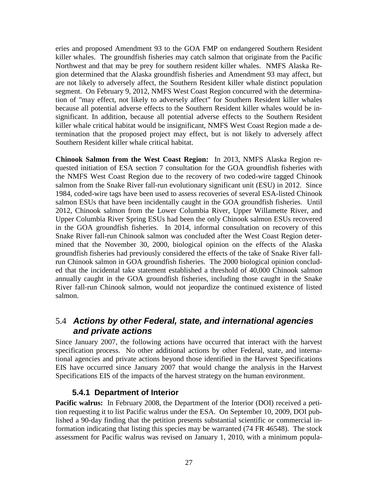<span id="page-28-0"></span> killer whales. The groundfish fisheries may catch salmon that originate from the Pacific gion determined that the Alaska groundfish fisheries and Amendment 93 may affect, but segment. On February 9, 2012, NMFS West Coast Region concurred with the determinaeries and proposed Amendment 93 to the GOA FMP on endangered Southern Resident Northwest and that may be prey for southern resident killer whales. NMFS Alaska Reare not likely to adversely affect, the Southern Resident killer whale distinct population tion of "may effect, not likely to adversely affect" for Southern Resident killer whales because all potential adverse effects to the Southern Resident killer whales would be insignificant. In addition, because all potential adverse effects to the Southern Resident killer whale critical habitat would be insignificant, NMFS West Coast Region made a determination that the proposed project may effect, but is not likely to adversely affect Southern Resident killer whale critical habitat.

 **Chinook Salmon from the West Coast Region:** In 2013, NMFS Alaska Region re- groundfish fisheries had previously considered the effects of the take of Snake River fall- run Chinook salmon in GOA groundfish fisheries. The 2000 biological opinion conclud- annually caught in the GOA groundfish fisheries, including those caught in the Snake quested initiation of ESA section 7 consultation for the GOA groundfish fisheries with the NMFS West Coast Region due to the recovery of two coded-wire tagged Chinook salmon from the Snake River fall-run evolutionary significant unit (ESU) in 2012. Since 1984, coded-wire tags have been used to assess recoveries of several ESA-listed Chinook salmon ESUs that have been incidentally caught in the GOA groundfish fisheries. Until 2012, Chinook salmon from the Lower Columbia River, Upper Willamette River, and Upper Columbia River Spring ESUs had been the only Chinook salmon ESUs recovered in the GOA groundfish fisheries. In 2014, informal consultation on recovery of this Snake River fall-run Chinook salmon was concluded after the West Coast Region determined that the November 30, 2000, biological opinion on the effects of the Alaska ed that the incidental take statement established a threshold of 40,000 Chinook salmon River fall-run Chinook salmon, would not jeopardize the continued existence of listed salmon.

#### 5.4 *Actions by other Federal, state, and international agencies and private actions*

 specification process. No other additional actions by other Federal, state, and interna-Since January 2007, the following actions have occurred that interact with the harvest tional agencies and private actions beyond those identified in the Harvest Specifications EIS have occurred since January 2007 that would change the analysis in the Harvest Specifications EIS of the impacts of the harvest strategy on the human environment.

#### **5.4.1 Department of Interior**

Pacific walrus: In February 2008, the Department of the Interior (DOI) received a petition requesting it to list Pacific walrus under the ESA. On September 10, 2009, DOI published a 90-day finding that the petition presents substantial scientific or commercial information indicating that listing this species may be warranted (74 FR 46548). The stock assessment for Pacific walrus was revised on January 1, 2010, with a minimum popula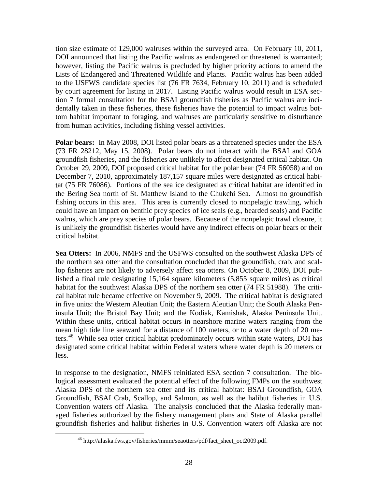Lists of Endangered and Threatened Wildlife and Plants. Pacific walrus has been added by court agreement for listing in 2017. Listing Pacific walrus would result in ESA sec- from human activities, including fishing vessel activities. tion size estimate of 129,000 walruses within the surveyed area. On February 10, 2011, DOI announced that listing the Pacific walrus as endangered or threatened is warranted; however, listing the Pacific walrus is precluded by higher priority actions to amend the to the USFWS candidate species list (76 FR 7634, February 10, 2011) and is scheduled tion 7 formal consultation for the BSAI groundfish fisheries as Pacific walrus are incidentally taken in these fisheries, these fisheries have the potential to impact walrus bottom habitat important to foraging, and walruses are particularly sensitive to disturbance

Polar bears: In May 2008, DOI listed polar bears as a threatened species under the ESA (73 FR 28212, May 15, 2008). Polar bears do not interact with the BSAI and GOA groundfish fisheries, and the fisheries are unlikely to affect designated critical habitat. On October 29, 2009, DOI proposed critical habitat for the polar bear (74 FR 56058) and on December 7, 2010, approximately 187,157 square miles were designated as critical habitat (75 FR 76086). Portions of the sea ice designated as critical habitat are identified in the Bering Sea north of St. Matthew Island to the Chukchi Sea. Almost no groundfish fishing occurs in this area. This area is currently closed to nonpelagic trawling, which could have an impact on benthic prey species of ice seals (e.g., bearded seals) and Pacific walrus, which are prey species of polar bears. Because of the nonpelagic trawl closure, it is unlikely the groundfish fisheries would have any indirect effects on polar bears or their critical habitat.

Sea Otters: In 2006, NMFS and the USFWS consulted on the southwest Alaska DPS of lop fisheries are not likely to adversely affect sea otters. On October 8, 2009, DOI pub- insula Unit; the Bristol Bay Unit; and the Kodiak, Kamishak, Alaska Peninsula Unit. ters.<sup>[46](#page-29-0)</sup> While sea otter critical habitat predominately occurs within state waters, DOI has less. the northern sea otter and the consultation concluded that the groundfish, crab, and scallished a final rule designating 15,164 square kilometers (5,855 square miles) as critical habitat for the southwest Alaska DPS of the northern sea otter (74 FR 51988). The critical habitat rule became effective on November 9, 2009. The critical habitat is designated in five units: the Western Aleutian Unit; the Eastern Aleutian Unit; the South Alaska Pen-Within these units, critical habitat occurs in nearshore marine waters ranging from the mean high tide line seaward for a distance of 100 meters, or to a water depth of 20 medesignated some critical habitat within Federal waters where water depth is 20 meters or

In response to the designation, NMFS reinitiated ESA section 7 consultation. The biological assessment evaluated the potential effect of the following FMPs on the southwest Alaska DPS of the northern sea otter and its critical habitat: BSAI Groundfish, GOA Groundfish, BSAI Crab, Scallop, and Salmon, as well as the halibut fisheries in U.S. Convention waters off Alaska. The analysis concluded that the Alaska federally managed fisheries authorized by the fishery management plans and State of Alaska parallel groundfish fisheries and halibut fisheries in U.S. Convention waters off Alaska are not

<span id="page-29-0"></span><sup>46</sup> http://alaska.fws.gov/fisheries/mmm/seaotters/pdf/fact\_sheet\_oct2009.pdf.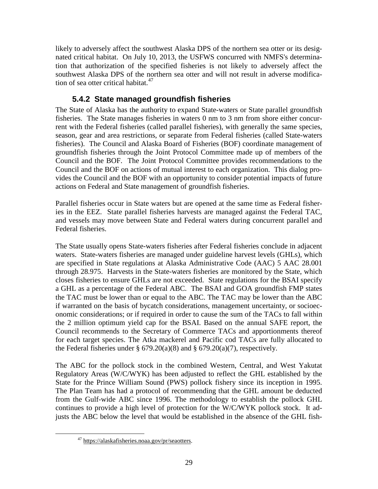<span id="page-30-0"></span> tion that authorization of the specified fisheries is not likely to adversely affect the likely to adversely affect the southwest Alaska DPS of the northern sea otter or its designated critical habitat. On July 10, 2013, the USFWS concurred with NMFS's determinasouthwest Alaska DPS of the northern sea otter and will not result in adverse modification of sea otter critical habitat. $47$ 

#### **5.4.2 State managed groundfish fisheries**

 season, gear and area restrictions, or separate from Federal fisheries (called State-waters The State of Alaska has the authority to expand State-waters or State parallel groundfish fisheries. The State manages fisheries in waters 0 nm to 3 nm from shore either concurrent with the Federal fisheries (called parallel fisheries), with generally the same species, fisheries). The Council and Alaska Board of Fisheries (BOF) coordinate management of groundfish fisheries through the Joint Protocol Committee made up of members of the Council and the BOF. The Joint Protocol Committee provides recommendations to the Council and the BOF on actions of mutual interest to each organization. This dialog provides the Council and the BOF with an opportunity to consider potential impacts of future actions on Federal and State management of groundfish fisheries.

Parallel fisheries occur in State waters but are opened at the same time as Federal fisheries in the EEZ. State parallel fisheries harvests are managed against the Federal TAC, and vessels may move between State and Federal waters during concurrent parallel and Federal fisheries.

 a GHL as a percentage of the Federal ABC. The BSAI and GOA groundfish FMP states for each target species. The Atka mackerel and Pacific cod TACs are fully allocated to the Federal fisheries under §  $679.20(a)(8)$  and §  $679.20(a)(7)$ , respectively. The State usually opens State-waters fisheries after Federal fisheries conclude in adjacent waters. State-waters fisheries are managed under guideline harvest levels (GHLs), which are specified in State regulations at Alaska Administrative Code (AAC) 5 AAC 28.001 through 28.975. Harvests in the State-waters fisheries are monitored by the State, which closes fisheries to ensure GHLs are not exceeded. State regulations for the BSAI specify the TAC must be lower than or equal to the ABC. The TAC may be lower than the ABC if warranted on the basis of bycatch considerations, management uncertainty, or socioeconomic considerations; or if required in order to cause the sum of the TACs to fall within the 2 million optimum yield cap for the BSAI. Based on the annual SAFE report, the Council recommends to the Secretary of Commerce TACs and apportionments thereof

 The Plan Team has had a protocol of recommending that the GHL amount be deducted The ABC for the pollock stock in the combined Western, Central, and West Yakutat Regulatory Areas (W/C/WYK) has been adjusted to reflect the GHL established by the State for the Prince William Sound (PWS) pollock fishery since its inception in 1995. from the Gulf-wide ABC since 1996. The methodology to establish the pollock GHL continues to provide a high level of protection for the W/C/WYK pollock stock. It adjusts the ABC below the level that would be established in the absence of the GHL fish-

<span id="page-30-1"></span><u>.</u>

<sup>47</sup> https://alaskafisheries.noaa.gov/pr/seaotters.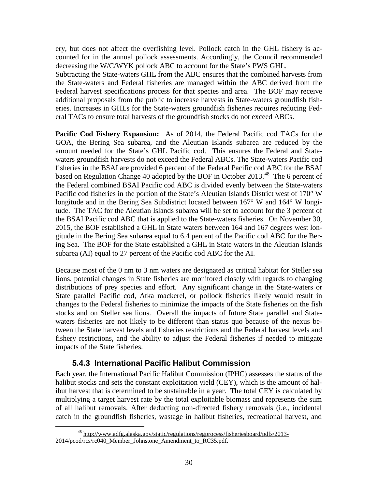<span id="page-31-0"></span> ery, but does not affect the overfishing level. Pollock catch in the GHL fishery is accounted for in the annual pollock assessments. Accordingly, the Council recommended decreasing the W/C/WYK pollock ABC to account for the State's PWS GHL.

 Federal harvest specifications process for that species and area. The BOF may receive Subtracting the State-waters GHL from the ABC ensures that the combined harvests from the State-waters and Federal fisheries are managed within the ABC derived from the additional proposals from the public to increase harvests in State-waters groundfish fisheries. Increases in GHLs for the State-waters groundfish fisheries requires reducing Federal TACs to ensure total harvests of the groundfish stocks do not exceed ABCs.

 **Pacific Cod Fishery Expansion:** As of 2014, the Federal Pacific cod TACs for the based on Regulation Change 40 adopted by the BOF in October 2013.<sup>48</sup> The 6 percent of Pacific cod fisheries in the portion of the State's Aleutian Islands District west of 170° W longitude and in the Bering Sea Subdistrict located between 167° W and 164° W longi- the BSAI Pacific cod ABC that is applied to the State-waters fisheries. On November 30, gitude in the Bering Sea subarea equal to 6.4 percent of the Pacific cod ABC for the Ber-GOA, the Bering Sea subarea, and the Aleutian Islands subarea are reduced by the amount needed for the State's GHL Pacific cod. This ensures the Federal and Statewaters groundfish harvests do not exceed the Federal ABCs. The State-waters Pacific cod fisheries in the BSAI are provided 6 percent of the Federal Pacific cod ABC for the BSAI the Federal combined BSAI Pacific cod ABC is divided evenly between the State-waters tude. The TAC for the Aleutian Islands subarea will be set to account for the 3 percent of 2015, the BOF established a GHL in State waters between 164 and 167 degrees west loning Sea. The BOF for the State established a GHL in State waters in the Aleutian Islands subarea (AI) equal to 27 percent of the Pacific cod ABC for the AI.

 waters fisheries are not likely to be different than status quo because of the nexus be- tween the State harvest levels and fisheries restrictions and the Federal harvest levels and Because most of the 0 nm to 3 nm waters are designated as critical habitat for Steller sea lions, potential changes in State fisheries are monitored closely with regards to changing distributions of prey species and effort. Any significant change in the State-waters or State parallel Pacific cod, Atka mackerel, or pollock fisheries likely would result in changes to the Federal fisheries to minimize the impacts of the State fisheries on the fish stocks and on Steller sea lions. Overall the impacts of future State parallel and Statefishery restrictions, and the ability to adjust the Federal fisheries if needed to mitigate impacts of the State fisheries.

#### **5.4.3 International Pacific Halibut Commission**

 Each year, the International Pacific Halibut Commission (IPHC) assesses the status of the halibut stocks and sets the constant exploitation yield (CEY), which is the amount of halibut harvest that is determined to be sustainable in a year. The total CEY is calculated by multiplying a target harvest rate by the total exploitable biomass and represents the sum of all halibut removals. After deducting non-directed fishery removals (i.e., incidental catch in the groundfish fisheries, wastage in halibut fisheries, recreational harvest, and

<span id="page-31-1"></span><sup>-</sup>48 http://www.adfg.alaska.gov/static/regulations/regprocess/fisheriesboard/pdfs/2013- 2014/pcod/rcs/rc040\_Member\_Johnstone\_Amendment\_to\_RC35.pdf.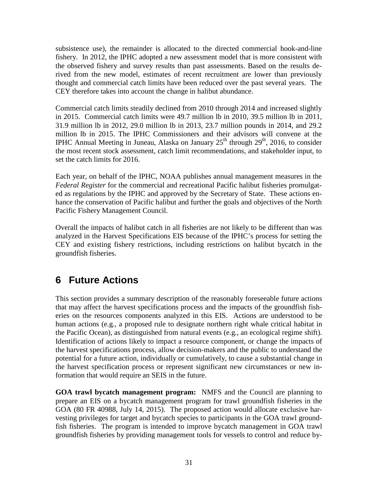<span id="page-32-0"></span> the observed fishery and survey results than past assessments. Based on the results de- thought and commercial catch limits have been reduced over the past several years. The subsistence use), the remainder is allocated to the directed commercial hook-and-line fishery. In 2012, the IPHC adopted a new assessment model that is more consistent with rived from the new model, estimates of recent recruitment are lower than previously CEY therefore takes into account the change in halibut abundance.

 million lb in 2015. The IPHC Commissioners and their advisors will convene at the IPHC Annual Meeting in Juneau, Alaska on January  $25<sup>th</sup>$  through  $29<sup>th</sup>$ , 2016, to consider Commercial catch limits steadily declined from 2010 through 2014 and increased slightly in 2015. Commercial catch limits were 49.7 million lb in 2010, 39.5 million lb in 2011, 31.9 million lb in 2012, 29.0 million lb in 2013, 23.7 million pounds in 2014, and 29.2 the most recent stock assessment, catch limit recommendations, and stakeholder input, to set the catch limits for 2016.

 hance the conservation of Pacific halibut and further the goals and objectives of the North Each year, on behalf of the IPHC, NOAA publishes annual management measures in the *Federal Register* for the commercial and recreational Pacific halibut fisheries promulgated as regulations by the IPHC and approved by the Secretary of State. These actions en-Pacific Fishery Management Council.

 CEY and existing fishery restrictions, including restrictions on halibut bycatch in the Overall the impacts of halibut catch in all fisheries are not likely to be different than was analyzed in the Harvest Specifications EIS because of the IPHC's process for setting the groundfish fisheries.

# **6 Future Actions**

 Identification of actions likely to impact a resource component, or change the impacts of potential for a future action, individually or cumulatively, to cause a substantial change in formation that would require an SEIS in the future. This section provides a summary description of the reasonably foreseeable future actions that may affect the harvest specifications process and the impacts of the groundfish fisheries on the resources components analyzed in this EIS. Actions are understood to be human actions (e.g., a proposed rule to designate northern right whale critical habitat in the Pacific Ocean), as distinguished from natural events (e.g., an ecological regime shift). the harvest specifications process, allow decision-makers and the public to understand the the harvest specification process or represent significant new circumstances or new in-

**GOA trawl bycatch management program:** NMFS and the Council are planning to prepare an EIS on a bycatch management program for trawl groundfish fisheries in the GOA (80 FR 40988, July 14, 2015). The proposed action would allocate exclusive harvesting privileges for target and bycatch species to participants in the GOA trawl groundfish fisheries. The program is intended to improve bycatch management in GOA trawl groundfish fisheries by providing management tools for vessels to control and reduce by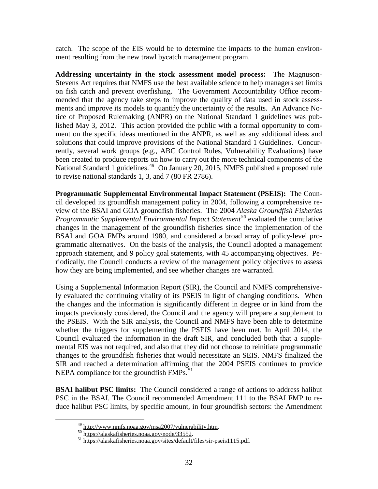ment resulting from the new trawl bycatch management program. catch. The scope of the EIS would be to determine the impacts to the human environ-

 Stevens Act requires that NMFS use the best available science to help managers set limits ments and improve its models to quantify the uncertainty of the results. An Advance No- - tice of Proposed Rulemaking (ANPR) on the National Standard 1 guidelines was pub National Standard 1 guidelines.<sup>[49](#page-33-0)</sup> On January 20, 2015, NMFS published a proposed rule **Addressing uncertainty in the stock assessment model process:** The Magnusonon fish catch and prevent overfishing. The Government Accountability Office recommended that the agency take steps to improve the quality of data used in stock assess lished May 3, 2012. This action provided the public with a formal opportunity to comsolutions that could improve provisions of the National Standard 1 Guidelines. Concurment on the specific ideas mentioned in the ANPR, as well as any additional ideas and rently, several work groups (e.g., ABC Control Rules, Vulnerability Evaluations) have been created to produce reports on how to carry out the more technical components of the to revise national standards 1, 3, and 7 (80 FR 2786).

 view of the BSAI and GOA groundfish fisheries. The 2004 *Alaska Groundfish Fisheries*  how they are being implemented, and see whether changes are warranted. Programmatic Supplemental Environmental Impact Statement (PSEIS): The Coun-- cil developed its groundfish management policy in 2004, following a comprehensive re *Programmatic Supplemental Environmental Impact Statement[50](#page-33-1)* evaluated the cumulative changes in the management of the groundfish fisheries since the implementation of the BSAI and GOA FMPs around 1980, and considered a broad array of policy-level pro approach statement, and 9 policy goal statements, with 45 accompanying objectives. Pegrammatic alternatives. On the basis of the analysis, the Council adopted a management riodically, the Council conducts a review of the management policy objectives to assess

 - Using a Supplemental Information Report (SIR), the Council and NMFS comprehensive the PSEIS. With the SIR analysis, the Council and NMFS have been able to determine - Council evaluated the information in the draft SIR, and concluded both that a supple ly evaluated the continuing vitality of its PSEIS in light of changing conditions. When the changes and the information is significantly different in degree or in kind from the impacts previously considered, the Council and the agency will prepare a supplement to whether the triggers for supplementing the PSEIS have been met. In April 2014, the mental EIS was not required, and also that they did not choose to reinitiate programmatic changes to the groundfish fisheries that would necessitate an SEIS. NMFS finalized the SIR and reached a determination affirming that the 2004 PSEIS continues to provide NEPA compliance for the groundfish FMPs.<sup>51</sup>

 **BSAI halibut PSC limits:** The Council considered a range of actions to address halibut PSC in the BSAI. The Council recommended Amendment 111 to the BSAI FMP to reduce halibut PSC limits, by specific amount, in four groundfish sectors: the Amendment

<span id="page-33-2"></span><span id="page-33-1"></span><span id="page-33-0"></span><u>.</u>

<sup>&</sup>lt;sup>49</sup> http://www.nmfs.noaa.gov/msa2007/vulnerability.htm.

<sup>&</sup>lt;sup>50</sup> https://alaskafisheries.noaa.gov/node/33552.<br><sup>51</sup> https://alaskafisheries.noaa.gov/sites/default/files/sir-pseis1115.pdf.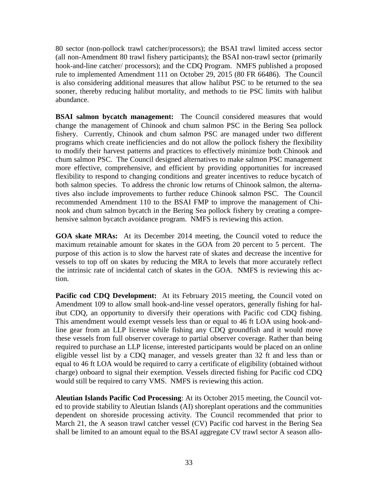hook-and-line catcher/ processors); and the CDQ Program. NMFS published a proposed abundance. 80 sector (non-pollock trawl catcher/processors); the BSAI trawl limited access sector (all non-Amendment 80 trawl fishery participants); the BSAI non-trawl sector (primarily rule to implemented Amendment 111 on October 29, 2015 (80 FR 66486). The Council is also considering additional measures that allow halibut PSC to be returned to the sea sooner, thereby reducing halibut mortality, and methods to tie PSC limits with halibut

**BSAI salmon bycatch management:** The Council considered measures that would tives also include improvements to further reduce Chinook salmon PSC. The Council change the management of Chinook and chum salmon PSC in the Bering Sea pollock fishery. Currently, Chinook and chum salmon PSC are managed under two different programs which create inefficiencies and do not allow the pollock fishery the flexibility to modify their harvest patterns and practices to effectively minimize both Chinook and chum salmon PSC. The Council designed alternatives to make salmon PSC management more effective, comprehensive, and efficient by providing opportunities for increased flexibility to respond to changing conditions and greater incentives to reduce bycatch of both salmon species. To address the chronic low returns of Chinook salmon, the alterna recommended Amendment 110 to the BSAI FMP to improve the management of Chi-- nook and chum salmon bycatch in the Bering Sea pollock fishery by creating a compre hensive salmon bycatch avoidance program. NMFS is reviewing this action.

 **GOA skate MRAs:** At its December 2014 meeting, the Council voted to reduce the the intrinsic rate of incidental catch of skates in the GOA. NMFS is reviewing this acmaximum retainable amount for skates in the GOA from 20 percent to 5 percent. The purpose of this action is to slow the harvest rate of skates and decrease the incentive for vessels to top off on skates by reducing the MRA to levels that more accurately reflect tion.

Pacific cod CDQ Development: At its February 2015 meeting, the Council voted on line gear from an LLP license while fishing any CDQ groundfish and it would move equal to 46 ft LOA would be required to carry a certificate of eligibility (obtained without would still be required to carry VMS. NMFS is reviewing this action. Amendment 109 to allow small hook-and-line vessel operators, generally fishing for halibut CDQ, an opportunity to diversify their operations with Pacific cod CDQ fishing. This amendment would exempt vessels less than or equal to 46 ft LOA using hook-andthese vessels from full observer coverage to partial observer coverage. Rather than being required to purchase an LLP license, interested participants would be placed on an online eligible vessel list by a CDQ manager, and vessels greater than 32 ft and less than or charge) onboard to signal their exemption. Vessels directed fishing for Pacific cod CDQ

 - shall be limited to an amount equal to the BSAI aggregate CV trawl sector A season allo **Aleutian Islands Pacific Cod Processing**: At its October 2015 meeting, the Council vot ed to provide stability to Aleutian Islands (AI) shoreplant operations and the communities dependent on shoreside processing activity. The Council recommended that prior to March 21, the A season trawl catcher vessel (CV) Pacific cod harvest in the Bering Sea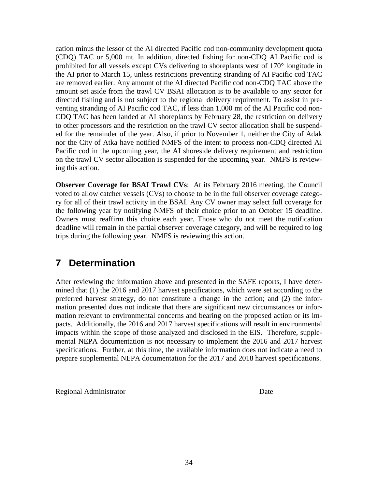<span id="page-35-0"></span> the AI prior to March 15, unless restrictions preventing stranding of AI Pacific cod TAC are removed earlier. Any amount of the AI directed Pacific cod non-CDQ TAC above the amount set aside from the trawl CV BSAI allocation is to be available to any sector for venting stranding of AI Pacific cod TAC, if less than 1,000 mt of the AI Pacific cod nonon the trawl CV sector allocation is suspended for the upcoming year. NMFS is reviewcation minus the lessor of the AI directed Pacific cod non-community development quota (CDQ) TAC or 5,000 mt. In addition, directed fishing for non-CDQ AI Pacific cod is prohibited for all vessels except CVs delivering to shoreplants west of 170° longitude in directed fishing and is not subject to the regional delivery requirement. To assist in pre to other processors and the restriction on the trawl CV sector allocation shall be suspend-CDQ TAC has been landed at AI shoreplants by February 28, the restriction on delivery ed for the remainder of the year. Also, if prior to November 1, neither the City of Adak nor the City of Atka have notified NMFS of the intent to process non-CDQ directed AI Pacific cod in the upcoming year, the AI shoreside delivery requirement and restriction ing this action.

 trips during the following year. NMFS is reviewing this action. voted to allow catcher vessels (CVs) to choose to be in the full observer coverage catego-**Observer Coverage for BSAI Trawl CVs**: At its February 2016 meeting, the Council ry for all of their trawl activity in the BSAI. Any CV owner may select full coverage for the following year by notifying NMFS of their choice prior to an October 15 deadline. Owners must reaffirm this choice each year. Those who do not meet the notification deadline will remain in the partial observer coverage category, and will be required to log

# **7 Determination**

After reviewing the information above and presented in the SAFE reports, I have deter-- preferred harvest strategy, do not constitute a change in the action; and (2) the infor mation presented does not indicate that there are significant new circumstances or information relevant to environmental concerns and bearing on the proposed action or its immined that (1) the 2016 and 2017 harvest specifications, which were set according to the pacts. Additionally, the 2016 and 2017 harvest specifications will result in environmental impacts within the scope of those analyzed and disclosed in the EIS. Therefore, supplemental NEPA documentation is not necessary to implement the 2016 and 2017 harvest specifications. Further, at this time, the available information does not indicate a need to prepare supplemental NEPA documentation for the 2017 and 2018 harvest specifications.

\_\_\_\_\_\_\_\_\_\_\_\_\_\_\_\_\_\_\_\_\_\_\_\_\_\_\_\_\_\_\_\_\_\_\_\_ \_\_\_\_\_\_\_\_\_\_\_\_\_\_\_\_\_\_

Regional Administrator Date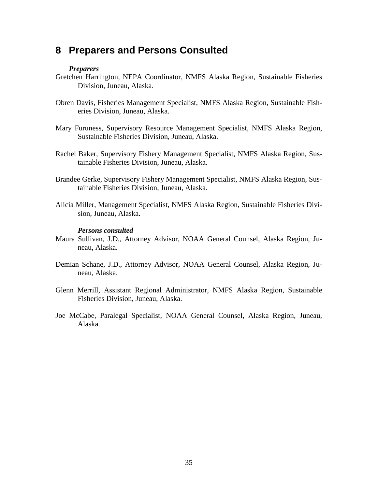#### <span id="page-36-0"></span>**8 Preparers and Persons Consulted**

#### *Preparers*

- Gretchen Harrington, NEPA Coordinator, NMFS Alaska Region, Sustainable Fisheries Division, Juneau, Alaska.
- eries Division, Juneau, Alaska. Obren Davis, Fisheries Management Specialist, NMFS Alaska Region, Sustainable Fish-
- Sustainable Fisheries Division, Juneau, Alaska. Mary Furuness, Supervisory Resource Management Specialist, NMFS Alaska Region,
- Sustainable Fisheries Division, Juneau, Alaska. Rachel Baker, Supervisory Fishery Management Specialist, NMFS Alaska Region, Sus tainable Fisheries Division, Juneau, Alaska.
- Brandee Gerke, Supervisory Fishery Management Specialist, NMFS Alaska Region, Sus tainable Fisheries Division, Juneau, Alaska.
- Alicia Miller, Management Specialist, NMFS Alaska Region, Sustainable Fisheries Divi sion, Juneau, Alaska.

#### *Persons consulted*

- Maura Sullivan, J.D., Attorney Advisor, NOAA General Counsel, Alaska Region, Ju neau, Alaska.
- Demian Schane, J.D., Attorney Advisor, NOAA General Counsel, Alaska Region, Juneau, Alaska.
- Fisheries Division, Juneau, Alaska. Glenn Merrill, Assistant Regional Administrator, NMFS Alaska Region, Sustainable
- Joe McCabe, Paralegal Specialist, NOAA General Counsel, Alaska Region, Juneau, Alaska.